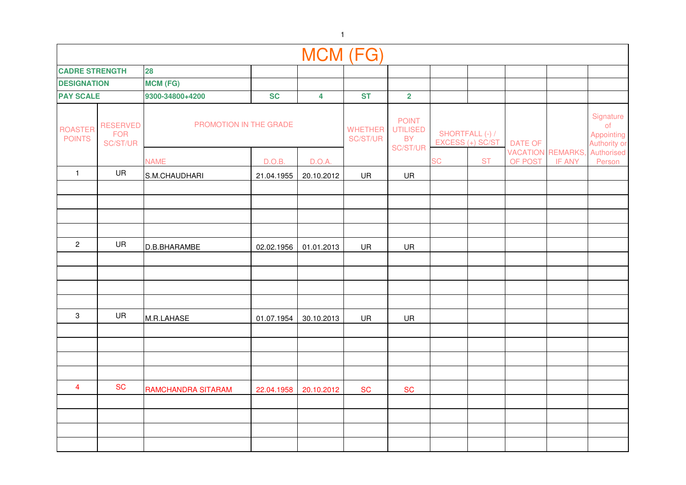|                                 |                                                                     |                    |            | MCM (FG)                |                            |                                                          |    |                                     |                |                                           |                                               |
|---------------------------------|---------------------------------------------------------------------|--------------------|------------|-------------------------|----------------------------|----------------------------------------------------------|----|-------------------------------------|----------------|-------------------------------------------|-----------------------------------------------|
| <b>CADRE STRENGTH</b>           |                                                                     | 28                 |            |                         |                            |                                                          |    |                                     |                |                                           |                                               |
| <b>DESIGNATION</b>              |                                                                     | <b>MCM (FG)</b>    |            |                         |                            |                                                          |    |                                     |                |                                           |                                               |
| <b>PAY SCALE</b>                |                                                                     | 9300-34800+4200    | <b>SC</b>  | $\overline{\mathbf{4}}$ | <b>ST</b>                  | $\overline{\mathbf{2}}$                                  |    |                                     |                |                                           |                                               |
| <b>ROASTER</b><br><b>POINTS</b> | PROMOTION IN THE GRADE<br><b>RESERVED</b><br><b>FOR</b><br>SC/ST/UR |                    |            |                         | <b>WHETHER</b><br>SC/ST/UR | <b>POINT</b><br><b>UTILISED</b><br><b>BY</b><br>SC/ST/UR |    | SHORTFALL (-) /<br>EXCESS (+) SC/ST | <b>DATE OF</b> |                                           | Signature<br>of<br>Appointing<br>Authority or |
|                                 |                                                                     | <b>NAME</b>        | D.O.B.     | D.O.A.                  |                            |                                                          | SC | <b>ST</b>                           | OF POST        | <b>VACATION REMARKS,</b><br><b>IF ANY</b> | Authorised<br>Person                          |
| $\mathbf{1}$                    | UR                                                                  | S.M.CHAUDHARI      | 21.04.1955 | 20.10.2012              | UR                         | UR                                                       |    |                                     |                |                                           |                                               |
|                                 |                                                                     |                    |            |                         |                            |                                                          |    |                                     |                |                                           |                                               |
|                                 |                                                                     |                    |            |                         |                            |                                                          |    |                                     |                |                                           |                                               |
|                                 |                                                                     |                    |            |                         |                            |                                                          |    |                                     |                |                                           |                                               |
|                                 |                                                                     |                    |            |                         |                            |                                                          |    |                                     |                |                                           |                                               |
| $\overline{2}$                  | UR                                                                  | D.B.BHARAMBE       | 02.02.1956 | 01.01.2013              | UR                         | UR                                                       |    |                                     |                |                                           |                                               |
|                                 |                                                                     |                    |            |                         |                            |                                                          |    |                                     |                |                                           |                                               |
|                                 |                                                                     |                    |            |                         |                            |                                                          |    |                                     |                |                                           |                                               |
|                                 |                                                                     |                    |            |                         |                            |                                                          |    |                                     |                |                                           |                                               |
|                                 |                                                                     |                    |            |                         |                            |                                                          |    |                                     |                |                                           |                                               |
| 3                               | UR                                                                  | M.R.LAHASE         | 01.07.1954 | 30.10.2013              | UR                         | UR                                                       |    |                                     |                |                                           |                                               |
|                                 |                                                                     |                    |            |                         |                            |                                                          |    |                                     |                |                                           |                                               |
|                                 |                                                                     |                    |            |                         |                            |                                                          |    |                                     |                |                                           |                                               |
|                                 |                                                                     |                    |            |                         |                            |                                                          |    |                                     |                |                                           |                                               |
|                                 |                                                                     |                    |            |                         |                            |                                                          |    |                                     |                |                                           |                                               |
| $\overline{4}$                  | <b>SC</b>                                                           | RAMCHANDRA SITARAM | 22.04.1958 | 20.10.2012              | <b>SC</b>                  | <b>SC</b>                                                |    |                                     |                |                                           |                                               |
|                                 |                                                                     |                    |            |                         |                            |                                                          |    |                                     |                |                                           |                                               |
|                                 |                                                                     |                    |            |                         |                            |                                                          |    |                                     |                |                                           |                                               |
|                                 |                                                                     |                    |            |                         |                            |                                                          |    |                                     |                |                                           |                                               |
|                                 |                                                                     |                    |            |                         |                            |                                                          |    |                                     |                |                                           |                                               |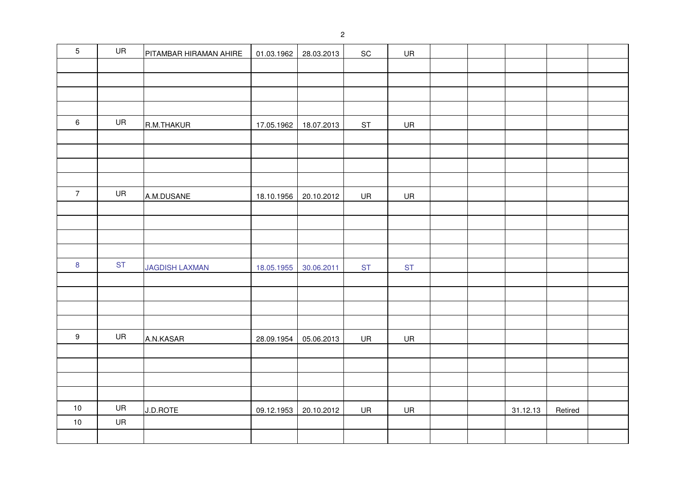| $\overline{5}$   | UR        | PITAMBAR HIRAMAN AHIRE | 01.03.1962 | 28.03.2013 | $\operatorname{\textsf{SC}}$ | UR        |  |          |         |  |
|------------------|-----------|------------------------|------------|------------|------------------------------|-----------|--|----------|---------|--|
|                  |           |                        |            |            |                              |           |  |          |         |  |
|                  |           |                        |            |            |                              |           |  |          |         |  |
|                  |           |                        |            |            |                              |           |  |          |         |  |
|                  |           |                        |            |            |                              |           |  |          |         |  |
| $\,6\,$          | UR        | R.M.THAKUR             | 17.05.1962 | 18.07.2013 | $\mathsf{ST}$                | UR        |  |          |         |  |
|                  |           |                        |            |            |                              |           |  |          |         |  |
|                  |           |                        |            |            |                              |           |  |          |         |  |
|                  |           |                        |            |            |                              |           |  |          |         |  |
|                  |           |                        |            |            |                              |           |  |          |         |  |
| $\overline{7}$   | UR        | A.M.DUSANE             | 18.10.1956 | 20.10.2012 | UR                           | UR        |  |          |         |  |
|                  |           |                        |            |            |                              |           |  |          |         |  |
|                  |           |                        |            |            |                              |           |  |          |         |  |
|                  |           |                        |            |            |                              |           |  |          |         |  |
|                  |           |                        |            |            |                              |           |  |          |         |  |
| $\boldsymbol{8}$ | <b>ST</b> | <b>JAGDISH LAXMAN</b>  | 18.05.1955 | 30.06.2011 | <b>ST</b>                    | <b>ST</b> |  |          |         |  |
|                  |           |                        |            |            |                              |           |  |          |         |  |
|                  |           |                        |            |            |                              |           |  |          |         |  |
|                  |           |                        |            |            |                              |           |  |          |         |  |
|                  |           |                        |            |            |                              |           |  |          |         |  |
| $\boldsymbol{9}$ | UR        | A.N.KASAR              | 28.09.1954 | 05.06.2013 | UR                           | UR        |  |          |         |  |
|                  |           |                        |            |            |                              |           |  |          |         |  |
|                  |           |                        |            |            |                              |           |  |          |         |  |
|                  |           |                        |            |            |                              |           |  |          |         |  |
|                  |           |                        |            |            |                              |           |  |          |         |  |
| $10$             | UR        | J.D.ROTE               | 09.12.1953 | 20.10.2012 | UR                           | UR        |  | 31.12.13 | Retired |  |
| $10$             | UR        |                        |            |            |                              |           |  |          |         |  |
|                  |           |                        |            |            |                              |           |  |          |         |  |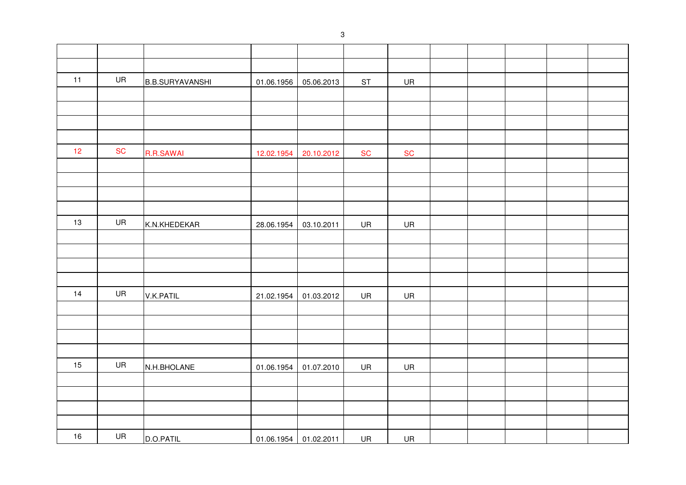| 11 | UR        | <b>B.B.SURYAVANSHI</b> | 01.06.1956 | 05.06.2013 | ST        | <b>UR</b>  |  |  |  |
|----|-----------|------------------------|------------|------------|-----------|------------|--|--|--|
|    |           |                        |            |            |           |            |  |  |  |
|    |           |                        |            |            |           |            |  |  |  |
|    |           |                        |            |            |           |            |  |  |  |
|    |           |                        |            |            |           |            |  |  |  |
| 12 | <b>SC</b> | <b>R.R.SAWAI</b>       | 12.02.1954 | 20.10.2012 | <b>SC</b> | ${\sf SC}$ |  |  |  |
|    |           |                        |            |            |           |            |  |  |  |
|    |           |                        |            |            |           |            |  |  |  |
|    |           |                        |            |            |           |            |  |  |  |
|    |           |                        |            |            |           |            |  |  |  |
| 13 | UR        | K.N.KHEDEKAR           | 28.06.1954 | 03.10.2011 | UR        | UR         |  |  |  |
|    |           |                        |            |            |           |            |  |  |  |
|    |           |                        |            |            |           |            |  |  |  |
|    |           |                        |            |            |           |            |  |  |  |
|    |           |                        |            |            |           |            |  |  |  |
| 14 | UR        | V.K.PATIL              | 21.02.1954 | 01.03.2012 | UR        | <b>UR</b>  |  |  |  |
|    |           |                        |            |            |           |            |  |  |  |
|    |           |                        |            |            |           |            |  |  |  |
|    |           |                        |            |            |           |            |  |  |  |
|    |           |                        |            |            |           |            |  |  |  |
| 15 | UR        | N.H.BHOLANE            | 01.06.1954 | 01.07.2010 | UR        | UR         |  |  |  |
|    |           |                        |            |            |           |            |  |  |  |
|    |           |                        |            |            |           |            |  |  |  |
|    |           |                        |            |            |           |            |  |  |  |
|    |           |                        |            |            |           |            |  |  |  |
| 16 | UR        | D.O.PATIL              | 01.06.1954 | 01.02.2011 | UR        | UR         |  |  |  |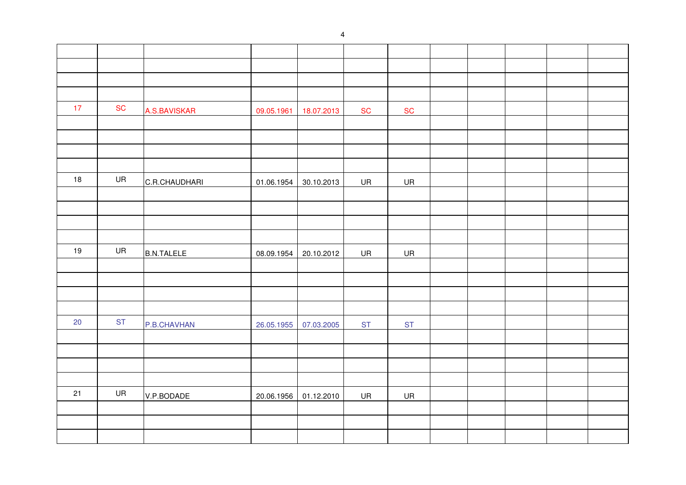| 17 | <b>SC</b> | A.S.BAVISKAR      | 09.05.1961 | 18.07.2013 | <b>SC</b> | ${\sf SC}$ |  |  |  |
|----|-----------|-------------------|------------|------------|-----------|------------|--|--|--|
|    |           |                   |            |            |           |            |  |  |  |
|    |           |                   |            |            |           |            |  |  |  |
|    |           |                   |            |            |           |            |  |  |  |
|    |           |                   |            |            |           |            |  |  |  |
| 18 | UR        | C.R.CHAUDHARI     | 01.06.1954 | 30.10.2013 | UR        | UR         |  |  |  |
|    |           |                   |            |            |           |            |  |  |  |
|    |           |                   |            |            |           |            |  |  |  |
|    |           |                   |            |            |           |            |  |  |  |
|    |           |                   |            |            |           |            |  |  |  |
| 19 | UR        | <b>B.N.TALELE</b> | 08.09.1954 | 20.10.2012 | UR        | <b>UR</b>  |  |  |  |
|    |           |                   |            |            |           |            |  |  |  |
|    |           |                   |            |            |           |            |  |  |  |
|    |           |                   |            |            |           |            |  |  |  |
|    |           |                   |            |            |           |            |  |  |  |
| 20 | <b>ST</b> | P.B.CHAVHAN       | 26.05.1955 | 07.03.2005 | <b>ST</b> | <b>ST</b>  |  |  |  |
|    |           |                   |            |            |           |            |  |  |  |
|    |           |                   |            |            |           |            |  |  |  |
|    |           |                   |            |            |           |            |  |  |  |
|    |           |                   |            |            |           |            |  |  |  |
| 21 | UR        | V.P.BODADE        | 20.06.1956 | 01.12.2010 | UR        | UR         |  |  |  |
|    |           |                   |            |            |           |            |  |  |  |
|    |           |                   |            |            |           |            |  |  |  |
|    |           |                   |            |            |           |            |  |  |  |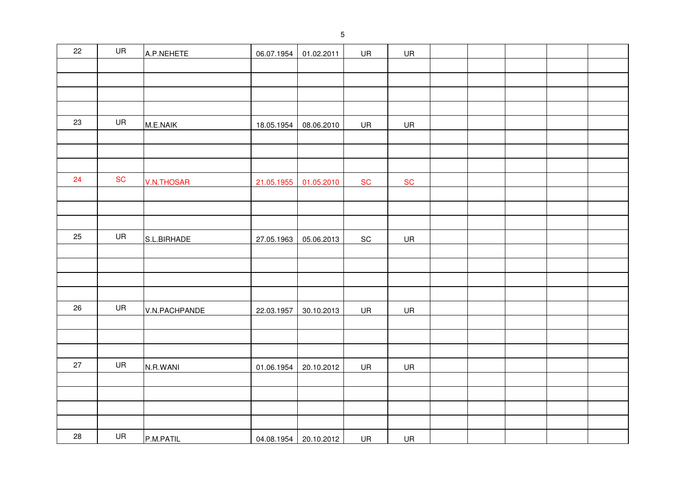| 22 | UR        | A.P.NEHETE        | 06.07.1954 | 01.02.2011            | UR                           | UR        |  |  |  |
|----|-----------|-------------------|------------|-----------------------|------------------------------|-----------|--|--|--|
|    |           |                   |            |                       |                              |           |  |  |  |
|    |           |                   |            |                       |                              |           |  |  |  |
|    |           |                   |            |                       |                              |           |  |  |  |
|    |           |                   |            |                       |                              |           |  |  |  |
| 23 | UR        | M.E.NAIK          | 18.05.1954 | 08.06.2010            | UR                           | UR        |  |  |  |
|    |           |                   |            |                       |                              |           |  |  |  |
|    |           |                   |            |                       |                              |           |  |  |  |
|    |           |                   |            |                       |                              |           |  |  |  |
| 24 | <b>SC</b> | <b>V.N.THOSAR</b> | 21.05.1955 | 01.05.2010            | <b>SC</b>                    | <b>SC</b> |  |  |  |
|    |           |                   |            |                       |                              |           |  |  |  |
|    |           |                   |            |                       |                              |           |  |  |  |
|    |           |                   |            |                       |                              |           |  |  |  |
| 25 | UR        | S.L.BIRHADE       | 27.05.1963 | 05.06.2013            | $\operatorname{\textsf{SC}}$ | UR        |  |  |  |
|    |           |                   |            |                       |                              |           |  |  |  |
|    |           |                   |            |                       |                              |           |  |  |  |
|    |           |                   |            |                       |                              |           |  |  |  |
|    |           |                   |            |                       |                              |           |  |  |  |
| 26 | UR        | V.N.PACHPANDE     | 22.03.1957 | 30.10.2013            | UR                           | UR        |  |  |  |
|    |           |                   |            |                       |                              |           |  |  |  |
|    |           |                   |            |                       |                              |           |  |  |  |
|    |           |                   |            |                       |                              |           |  |  |  |
| 27 | UR        | N.R.WANI          | 01.06.1954 | 20.10.2012            | UR                           | <b>UR</b> |  |  |  |
|    |           |                   |            |                       |                              |           |  |  |  |
|    |           |                   |            |                       |                              |           |  |  |  |
|    |           |                   |            |                       |                              |           |  |  |  |
|    |           |                   |            |                       |                              |           |  |  |  |
| 28 | UR        | P.M.PATIL         |            | 04.08.1954 20.10.2012 | UR                           | UR        |  |  |  |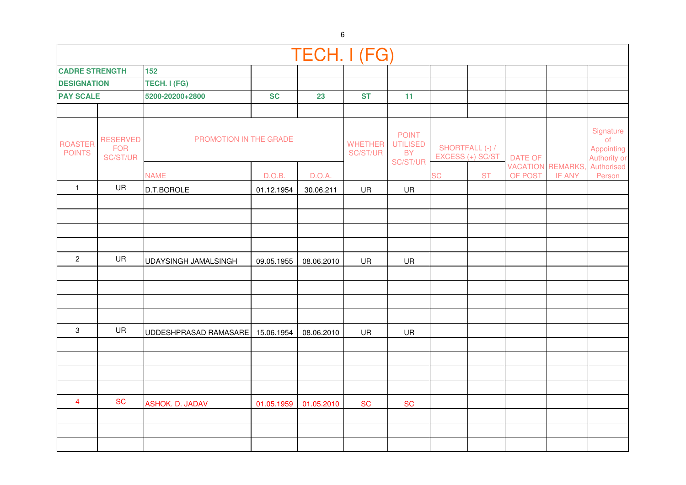|                                 |                                           |                                  |            | TECH. I (FG) |                            |                                                          |           |                                     |                |                                           |                                               |
|---------------------------------|-------------------------------------------|----------------------------------|------------|--------------|----------------------------|----------------------------------------------------------|-----------|-------------------------------------|----------------|-------------------------------------------|-----------------------------------------------|
| <b>CADRE STRENGTH</b>           |                                           | 152                              |            |              |                            |                                                          |           |                                     |                |                                           |                                               |
| <b>DESIGNATION</b>              |                                           | TECH. I (FG)                     |            |              |                            |                                                          |           |                                     |                |                                           |                                               |
| <b>PAY SCALE</b>                |                                           | 5200-20200+2800                  | <b>SC</b>  | 23           | <b>ST</b>                  | 11                                                       |           |                                     |                |                                           |                                               |
|                                 |                                           |                                  |            |              |                            |                                                          |           |                                     |                |                                           |                                               |
| <b>ROASTER</b><br><b>POINTS</b> | <b>RESERVED</b><br><b>FOR</b><br>SC/ST/UR | PROMOTION IN THE GRADE           |            |              | <b>WHETHER</b><br>SC/ST/UR | <b>POINT</b><br><b>UTILISED</b><br><b>BY</b><br>SC/ST/UR |           | SHORTFALL (-) /<br>EXCESS (+) SC/ST | <b>DATE OF</b> |                                           | Signature<br>of<br>Appointing<br>Authority or |
|                                 |                                           | <b>NAME</b>                      | D.O.B.     | D.O.A.       |                            |                                                          | <b>SC</b> | <b>ST</b>                           | OF POST        | <b>VACATION REMARKS,</b><br><b>IF ANY</b> | Authorised<br>Person                          |
| $\mathbf{1}$                    | <b>UR</b>                                 | D.T.BOROLE                       | 01.12.1954 | 30.06.211    | UR                         | UR                                                       |           |                                     |                |                                           |                                               |
|                                 |                                           |                                  |            |              |                            |                                                          |           |                                     |                |                                           |                                               |
|                                 |                                           |                                  |            |              |                            |                                                          |           |                                     |                |                                           |                                               |
|                                 |                                           |                                  |            |              |                            |                                                          |           |                                     |                |                                           |                                               |
|                                 |                                           |                                  |            |              |                            |                                                          |           |                                     |                |                                           |                                               |
| $\overline{c}$                  | UR                                        | UDAYSINGH JAMALSINGH             | 09.05.1955 | 08.06.2010   | UR                         | UR                                                       |           |                                     |                |                                           |                                               |
|                                 |                                           |                                  |            |              |                            |                                                          |           |                                     |                |                                           |                                               |
|                                 |                                           |                                  |            |              |                            |                                                          |           |                                     |                |                                           |                                               |
|                                 |                                           |                                  |            |              |                            |                                                          |           |                                     |                |                                           |                                               |
|                                 |                                           |                                  |            |              |                            |                                                          |           |                                     |                |                                           |                                               |
| $\mathbf{3}$                    | UR                                        | UDDESHPRASAD RAMASARE 15.06.1954 |            | 08.06.2010   | <b>UR</b>                  | UR                                                       |           |                                     |                |                                           |                                               |
|                                 |                                           |                                  |            |              |                            |                                                          |           |                                     |                |                                           |                                               |
|                                 |                                           |                                  |            |              |                            |                                                          |           |                                     |                |                                           |                                               |
|                                 |                                           |                                  |            |              |                            |                                                          |           |                                     |                |                                           |                                               |
|                                 |                                           |                                  |            |              |                            |                                                          |           |                                     |                |                                           |                                               |
| $\overline{4}$                  | <b>SC</b>                                 | <b>ASHOK. D. JADAV</b>           | 01.05.1959 | 01.05.2010   | <b>SC</b>                  | <b>SC</b>                                                |           |                                     |                |                                           |                                               |
|                                 |                                           |                                  |            |              |                            |                                                          |           |                                     |                |                                           |                                               |
|                                 |                                           |                                  |            |              |                            |                                                          |           |                                     |                |                                           |                                               |
|                                 |                                           |                                  |            |              |                            |                                                          |           |                                     |                |                                           |                                               |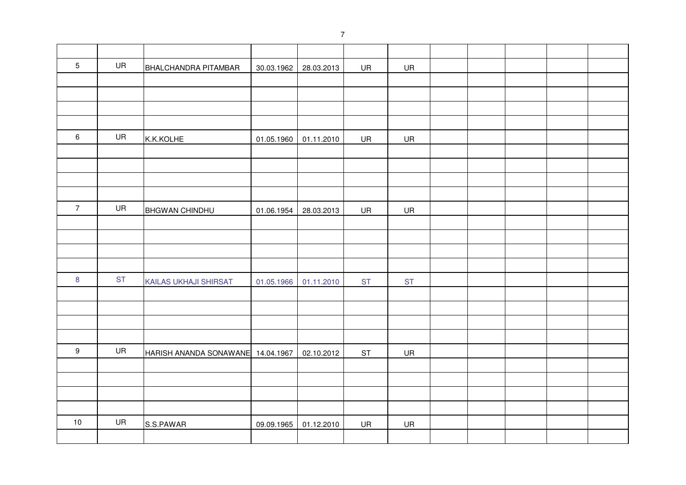| $\overline{5}$ | UR        | BHALCHANDRA PITAMBAR              | 30.03.1962 | 28.03.2013 | UR            | <b>UR</b> |  |  |  |
|----------------|-----------|-----------------------------------|------------|------------|---------------|-----------|--|--|--|
|                |           |                                   |            |            |               |           |  |  |  |
|                |           |                                   |            |            |               |           |  |  |  |
|                |           |                                   |            |            |               |           |  |  |  |
|                |           |                                   |            |            |               |           |  |  |  |
| 6              | UR        | K.K.KOLHE                         | 01.05.1960 | 01.11.2010 | UR            | UR        |  |  |  |
|                |           |                                   |            |            |               |           |  |  |  |
|                |           |                                   |            |            |               |           |  |  |  |
|                |           |                                   |            |            |               |           |  |  |  |
|                |           |                                   |            |            |               |           |  |  |  |
| $\overline{7}$ | UR        | <b>BHGWAN CHINDHU</b>             | 01.06.1954 | 28.03.2013 | UR            | UR        |  |  |  |
|                |           |                                   |            |            |               |           |  |  |  |
|                |           |                                   |            |            |               |           |  |  |  |
|                |           |                                   |            |            |               |           |  |  |  |
|                |           |                                   |            |            |               |           |  |  |  |
| $\bf 8$        | <b>ST</b> | KAILAS UKHAJI SHIRSAT             | 01.05.1966 | 01.11.2010 | <b>ST</b>     | <b>ST</b> |  |  |  |
|                |           |                                   |            |            |               |           |  |  |  |
|                |           |                                   |            |            |               |           |  |  |  |
|                |           |                                   |            |            |               |           |  |  |  |
|                |           |                                   |            |            |               |           |  |  |  |
| $9\,$          | UR        | HARISH ANANDA SONAWANE 14.04.1967 |            | 02.10.2012 | $\mathsf{ST}$ | UR        |  |  |  |
|                |           |                                   |            |            |               |           |  |  |  |
|                |           |                                   |            |            |               |           |  |  |  |
|                |           |                                   |            |            |               |           |  |  |  |
|                |           |                                   |            |            |               |           |  |  |  |
| $10$           | UR        | S.S.PAWAR                         | 09.09.1965 | 01.12.2010 | UR            | UR        |  |  |  |
|                |           |                                   |            |            |               |           |  |  |  |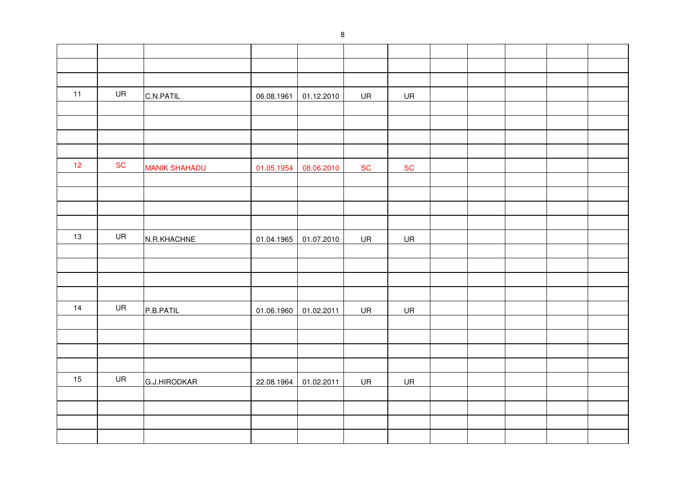| 11 | UR        | C.N.PATIL            | 06.08.1961 | 01.12.2010 | UR        | UR        |  |  |  |
|----|-----------|----------------------|------------|------------|-----------|-----------|--|--|--|
|    |           |                      |            |            |           |           |  |  |  |
|    |           |                      |            |            |           |           |  |  |  |
|    |           |                      |            |            |           |           |  |  |  |
|    |           |                      |            |            |           |           |  |  |  |
| 12 | <b>SC</b> | <b>MANIK SHAHADU</b> | 01.05.1954 | 08.06.2010 | <b>SC</b> | <b>SC</b> |  |  |  |
|    |           |                      |            |            |           |           |  |  |  |
|    |           |                      |            |            |           |           |  |  |  |
|    |           |                      |            |            |           |           |  |  |  |
|    |           |                      |            |            |           |           |  |  |  |
| 13 | UR        | N.R.KHACHNE          | 01.04.1965 | 01.07.2010 | UR        | UR        |  |  |  |
|    |           |                      |            |            |           |           |  |  |  |
|    |           |                      |            |            |           |           |  |  |  |
|    |           |                      |            |            |           |           |  |  |  |
|    |           |                      |            |            |           |           |  |  |  |
| 14 | UR        | P.B.PATIL            | 01.06.1960 | 01.02.2011 | UR        | <b>UR</b> |  |  |  |
|    |           |                      |            |            |           |           |  |  |  |
|    |           |                      |            |            |           |           |  |  |  |
|    |           |                      |            |            |           |           |  |  |  |
|    |           |                      |            |            |           |           |  |  |  |
| 15 | UR        | G.J.HIRODKAR         | 22.08.1964 | 01.02.2011 | UR        | <b>UR</b> |  |  |  |
|    |           |                      |            |            |           |           |  |  |  |
|    |           |                      |            |            |           |           |  |  |  |
|    |           |                      |            |            |           |           |  |  |  |
|    |           |                      |            |            |           |           |  |  |  |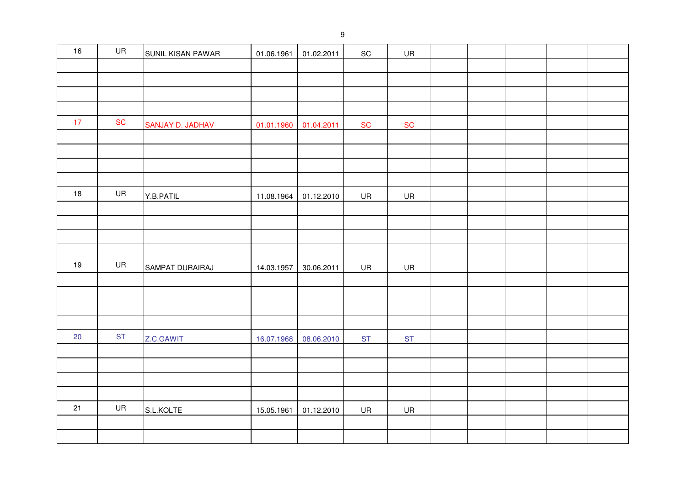| 16 | UR         | SUNIL KISAN PAWAR | 01.06.1961 | 01.02.2011 | SC         | UR        |  |  |  |
|----|------------|-------------------|------------|------------|------------|-----------|--|--|--|
|    |            |                   |            |            |            |           |  |  |  |
|    |            |                   |            |            |            |           |  |  |  |
|    |            |                   |            |            |            |           |  |  |  |
|    |            |                   |            |            |            |           |  |  |  |
| 17 | ${\sf SC}$ | SANJAY D. JADHAV  | 01.01.1960 | 01.04.2011 | ${\sf SC}$ | <b>SC</b> |  |  |  |
|    |            |                   |            |            |            |           |  |  |  |
|    |            |                   |            |            |            |           |  |  |  |
|    |            |                   |            |            |            |           |  |  |  |
|    |            |                   |            |            |            |           |  |  |  |
| 18 | UR         | Y.B.PATIL         | 11.08.1964 | 01.12.2010 | UR         | UR        |  |  |  |
|    |            |                   |            |            |            |           |  |  |  |
|    |            |                   |            |            |            |           |  |  |  |
|    |            |                   |            |            |            |           |  |  |  |
|    |            |                   |            |            |            |           |  |  |  |
| 19 | UR         | SAMPAT DURAIRAJ   | 14.03.1957 | 30.06.2011 | UR         | UR        |  |  |  |
|    |            |                   |            |            |            |           |  |  |  |
|    |            |                   |            |            |            |           |  |  |  |
|    |            |                   |            |            |            |           |  |  |  |
|    | <b>ST</b>  |                   |            |            |            |           |  |  |  |
| 20 |            | Z.C.GAWIT         | 16.07.1968 | 08.06.2010 | <b>ST</b>  | <b>ST</b> |  |  |  |
|    |            |                   |            |            |            |           |  |  |  |
|    |            |                   |            |            |            |           |  |  |  |
|    |            |                   |            |            |            |           |  |  |  |
| 21 | UR         |                   |            |            |            |           |  |  |  |
|    |            | S.L.KOLTE         | 15.05.1961 | 01.12.2010 | UR         | UR        |  |  |  |
|    |            |                   |            |            |            |           |  |  |  |
|    |            |                   |            |            |            |           |  |  |  |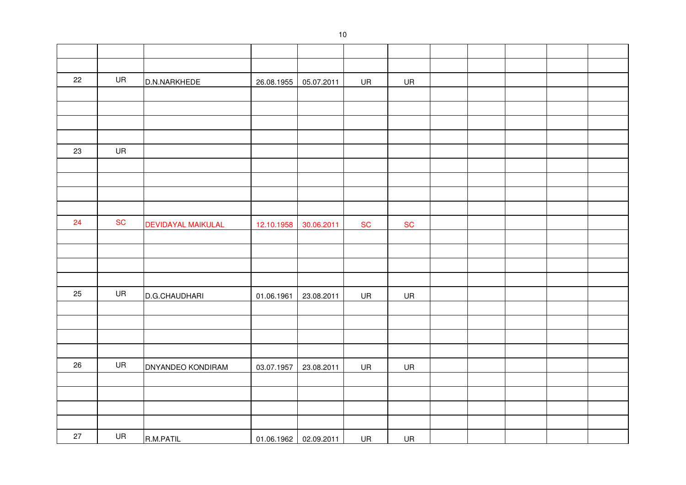| 22 | UR        | D.N.NARKHEDE              | 26.08.1955 | 05.07.2011            | UR        | UR        |  |  |  |
|----|-----------|---------------------------|------------|-----------------------|-----------|-----------|--|--|--|
|    |           |                           |            |                       |           |           |  |  |  |
|    |           |                           |            |                       |           |           |  |  |  |
|    |           |                           |            |                       |           |           |  |  |  |
|    |           |                           |            |                       |           |           |  |  |  |
| 23 | UR        |                           |            |                       |           |           |  |  |  |
|    |           |                           |            |                       |           |           |  |  |  |
|    |           |                           |            |                       |           |           |  |  |  |
|    |           |                           |            |                       |           |           |  |  |  |
|    |           |                           |            |                       |           |           |  |  |  |
| 24 | <b>SC</b> | <b>DEVIDAYAL MAIKULAL</b> | 12.10.1958 | 30.06.2011            | <b>SC</b> | <b>SC</b> |  |  |  |
|    |           |                           |            |                       |           |           |  |  |  |
|    |           |                           |            |                       |           |           |  |  |  |
|    |           |                           |            |                       |           |           |  |  |  |
|    |           |                           |            |                       |           |           |  |  |  |
| 25 | UR        | D.G.CHAUDHARI             | 01.06.1961 | 23.08.2011            | UR        | <b>UR</b> |  |  |  |
|    |           |                           |            |                       |           |           |  |  |  |
|    |           |                           |            |                       |           |           |  |  |  |
|    |           |                           |            |                       |           |           |  |  |  |
|    |           |                           |            |                       |           |           |  |  |  |
| 26 | UR        | <b>DNYANDEO KONDIRAM</b>  | 03.07.1957 | 23.08.2011            | UR        | UR        |  |  |  |
|    |           |                           |            |                       |           |           |  |  |  |
|    |           |                           |            |                       |           |           |  |  |  |
|    |           |                           |            |                       |           |           |  |  |  |
|    |           |                           |            |                       |           |           |  |  |  |
| 27 | UR        | R.M.PATIL                 |            | 01.06.1962 02.09.2011 | UR        | UR        |  |  |  |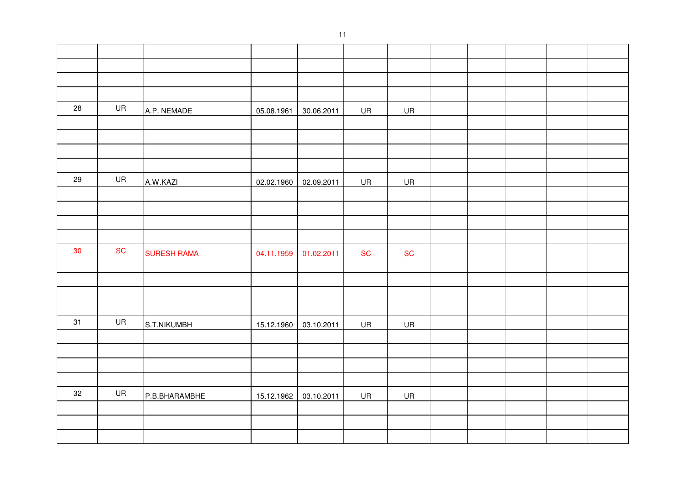| 28 | UR        | A.P. NEMADE        | 05.08.1961 | 30.06.2011 | UR        | UR         |  |  |  |
|----|-----------|--------------------|------------|------------|-----------|------------|--|--|--|
|    |           |                    |            |            |           |            |  |  |  |
|    |           |                    |            |            |           |            |  |  |  |
|    |           |                    |            |            |           |            |  |  |  |
|    |           |                    |            |            |           |            |  |  |  |
| 29 | UR        | A.W.KAZI           | 02.02.1960 | 02.09.2011 | UR        | UR         |  |  |  |
|    |           |                    |            |            |           |            |  |  |  |
|    |           |                    |            |            |           |            |  |  |  |
|    |           |                    |            |            |           |            |  |  |  |
|    |           |                    |            |            |           |            |  |  |  |
| 30 | <b>SC</b> | <b>SURESH RAMA</b> | 04.11.1959 | 01.02.2011 | <b>SC</b> | ${\sf SC}$ |  |  |  |
|    |           |                    |            |            |           |            |  |  |  |
|    |           |                    |            |            |           |            |  |  |  |
|    |           |                    |            |            |           |            |  |  |  |
|    |           |                    |            |            |           |            |  |  |  |
| 31 | UR        | S.T.NIKUMBH        | 15.12.1960 | 03.10.2011 | UR        | UR         |  |  |  |
|    |           |                    |            |            |           |            |  |  |  |
|    |           |                    |            |            |           |            |  |  |  |
|    |           |                    |            |            |           |            |  |  |  |
|    |           |                    |            |            |           |            |  |  |  |
| 32 | UR        | P.B.BHARAMBHE      | 15.12.1962 | 03.10.2011 | UR        | UR         |  |  |  |
|    |           |                    |            |            |           |            |  |  |  |
|    |           |                    |            |            |           |            |  |  |  |
|    |           |                    |            |            |           |            |  |  |  |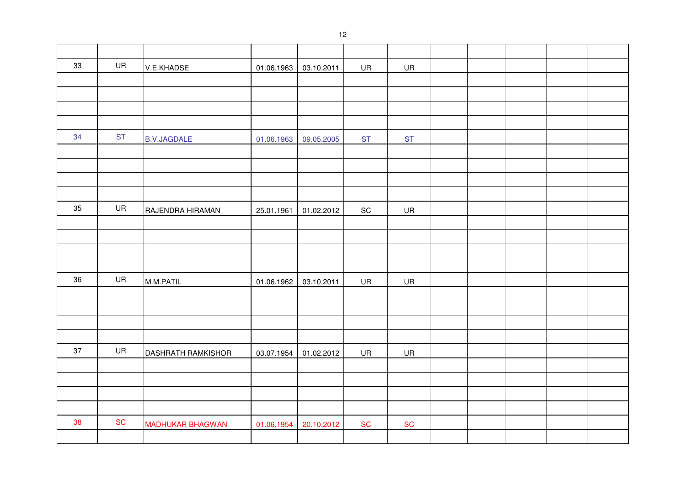| 33 | UR        | V.E.KHADSE              | 01.06.1963 | 03.10.2011 | UR                           | UR        |  |  |  |
|----|-----------|-------------------------|------------|------------|------------------------------|-----------|--|--|--|
|    |           |                         |            |            |                              |           |  |  |  |
|    |           |                         |            |            |                              |           |  |  |  |
|    |           |                         |            |            |                              |           |  |  |  |
|    |           |                         |            |            |                              |           |  |  |  |
| 34 | <b>ST</b> | <b>B.V.JAGDALE</b>      | 01.06.1963 | 09.05.2005 | <b>ST</b>                    | <b>ST</b> |  |  |  |
|    |           |                         |            |            |                              |           |  |  |  |
|    |           |                         |            |            |                              |           |  |  |  |
|    |           |                         |            |            |                              |           |  |  |  |
|    |           |                         |            |            |                              |           |  |  |  |
| 35 | UR        | RAJENDRA HIRAMAN        | 25.01.1961 | 01.02.2012 | $\operatorname{\textsf{SC}}$ | UR        |  |  |  |
|    |           |                         |            |            |                              |           |  |  |  |
|    |           |                         |            |            |                              |           |  |  |  |
|    |           |                         |            |            |                              |           |  |  |  |
|    |           |                         |            |            |                              |           |  |  |  |
| 36 | UR        | M.M.PATIL               | 01.06.1962 | 03.10.2011 | UR                           | UR        |  |  |  |
|    |           |                         |            |            |                              |           |  |  |  |
|    |           |                         |            |            |                              |           |  |  |  |
|    |           |                         |            |            |                              |           |  |  |  |
|    |           |                         |            |            |                              |           |  |  |  |
| 37 | UR        | DASHRATH RAMKISHOR      | 03.07.1954 | 01.02.2012 | UR                           | UR        |  |  |  |
|    |           |                         |            |            |                              |           |  |  |  |
|    |           |                         |            |            |                              |           |  |  |  |
|    |           |                         |            |            |                              |           |  |  |  |
|    |           |                         |            |            |                              |           |  |  |  |
| 38 | <b>SC</b> | <b>MADHUKAR BHAGWAN</b> | 01.06.1954 | 20.10.2012 | <b>SC</b>                    | <b>SC</b> |  |  |  |
|    |           |                         |            |            |                              |           |  |  |  |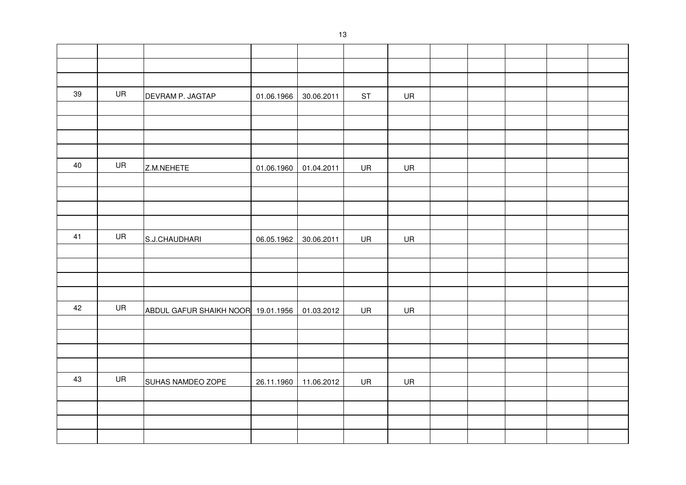| 39     | UR | DEVRAM P. JAGTAP                   | 01.06.1966 | 30.06.2011 | <b>ST</b> | UR        |  |  |  |
|--------|----|------------------------------------|------------|------------|-----------|-----------|--|--|--|
|        |    |                                    |            |            |           |           |  |  |  |
|        |    |                                    |            |            |           |           |  |  |  |
|        |    |                                    |            |            |           |           |  |  |  |
|        |    |                                    |            |            |           |           |  |  |  |
| $40\,$ | UR | Z.M.NEHETE                         | 01.06.1960 | 01.04.2011 | UR        | <b>UR</b> |  |  |  |
|        |    |                                    |            |            |           |           |  |  |  |
|        |    |                                    |            |            |           |           |  |  |  |
|        |    |                                    |            |            |           |           |  |  |  |
|        |    |                                    |            |            |           |           |  |  |  |
| 41     | UR | S.J.CHAUDHARI                      | 06.05.1962 | 30.06.2011 | UR        | UR        |  |  |  |
|        |    |                                    |            |            |           |           |  |  |  |
|        |    |                                    |            |            |           |           |  |  |  |
|        |    |                                    |            |            |           |           |  |  |  |
|        |    |                                    |            |            |           |           |  |  |  |
| 42     | UR | ABDUL GAFUR SHAIKH NOOR 19.01.1956 |            | 01.03.2012 | UR        | UR        |  |  |  |
|        |    |                                    |            |            |           |           |  |  |  |
|        |    |                                    |            |            |           |           |  |  |  |
|        |    |                                    |            |            |           |           |  |  |  |
|        |    |                                    |            |            |           |           |  |  |  |
| 43     | UR | SUHAS NAMDEO ZOPE                  | 26.11.1960 | 11.06.2012 | UR        | UR        |  |  |  |
|        |    |                                    |            |            |           |           |  |  |  |
|        |    |                                    |            |            |           |           |  |  |  |
|        |    |                                    |            |            |           |           |  |  |  |
|        |    |                                    |            |            |           |           |  |  |  |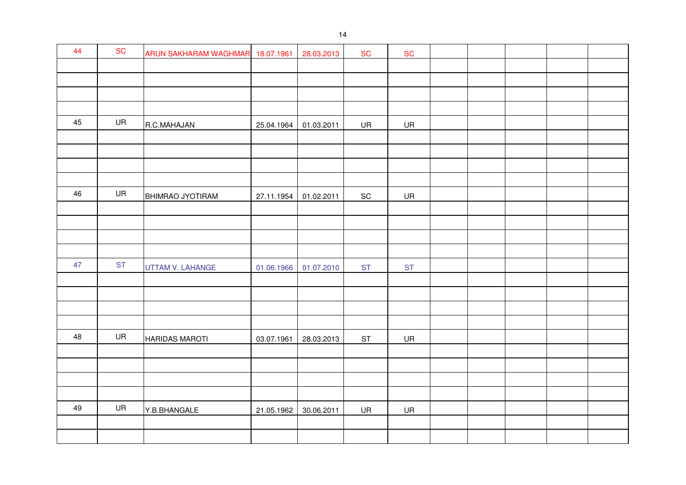| 44 | ${\sf SC}$ | ARUN SAKHARAM WAGHMAR 18.07.1961 |            | 28.03.2013 | <b>SC</b> | ${\sf SC}$ |  |  |  |
|----|------------|----------------------------------|------------|------------|-----------|------------|--|--|--|
|    |            |                                  |            |            |           |            |  |  |  |
|    |            |                                  |            |            |           |            |  |  |  |
|    |            |                                  |            |            |           |            |  |  |  |
|    |            |                                  |            |            |           |            |  |  |  |
| 45 | UR         | R.C.MAHAJAN                      | 25.04.1964 | 01.03.2011 | UR        | UR         |  |  |  |
|    |            |                                  |            |            |           |            |  |  |  |
|    |            |                                  |            |            |           |            |  |  |  |
|    |            |                                  |            |            |           |            |  |  |  |
|    |            |                                  |            |            |           |            |  |  |  |
| 46 | UR         | BHIMRAO JYOTIRAM                 | 27.11.1954 | 01.02.2011 | SC        | UR         |  |  |  |
|    |            |                                  |            |            |           |            |  |  |  |
|    |            |                                  |            |            |           |            |  |  |  |
|    |            |                                  |            |            |           |            |  |  |  |
|    |            |                                  |            |            |           |            |  |  |  |
| 47 | <b>ST</b>  | UTTAM V. LAHANGE                 | 01.06.1966 | 01.07.2010 | <b>ST</b> | <b>ST</b>  |  |  |  |
|    |            |                                  |            |            |           |            |  |  |  |
|    |            |                                  |            |            |           |            |  |  |  |
|    |            |                                  |            |            |           |            |  |  |  |
|    |            |                                  |            |            |           |            |  |  |  |
| 48 | UR         | <b>HARIDAS MAROTI</b>            | 03.07.1961 | 28.03.2013 | <b>ST</b> | <b>UR</b>  |  |  |  |
|    |            |                                  |            |            |           |            |  |  |  |
|    |            |                                  |            |            |           |            |  |  |  |
|    |            |                                  |            |            |           |            |  |  |  |
| 49 | UR         |                                  |            |            |           |            |  |  |  |
|    |            | Y.B.BHANGALE                     | 21.05.1962 | 30.06.2011 | UR        | UR         |  |  |  |
|    |            |                                  |            |            |           |            |  |  |  |
|    |            |                                  |            |            |           |            |  |  |  |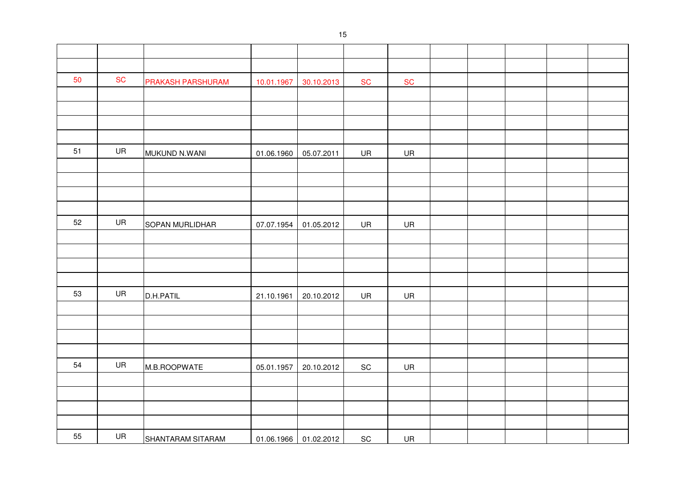| 50 | <b>SC</b> | PRAKASH PARSHURAM | 10.01.1967 | 30.10.2013            | <b>SC</b>                    | ${\sf SC}$ |  |  |  |
|----|-----------|-------------------|------------|-----------------------|------------------------------|------------|--|--|--|
|    |           |                   |            |                       |                              |            |  |  |  |
|    |           |                   |            |                       |                              |            |  |  |  |
|    |           |                   |            |                       |                              |            |  |  |  |
|    |           |                   |            |                       |                              |            |  |  |  |
| 51 | UR        | MUKUND N.WANI     | 01.06.1960 | 05.07.2011            | UR                           | UR         |  |  |  |
|    |           |                   |            |                       |                              |            |  |  |  |
|    |           |                   |            |                       |                              |            |  |  |  |
|    |           |                   |            |                       |                              |            |  |  |  |
|    |           |                   |            |                       |                              |            |  |  |  |
| 52 | UR        | SOPAN MURLIDHAR   | 07.07.1954 | 01.05.2012            | UR                           | <b>UR</b>  |  |  |  |
|    |           |                   |            |                       |                              |            |  |  |  |
|    |           |                   |            |                       |                              |            |  |  |  |
|    |           |                   |            |                       |                              |            |  |  |  |
|    |           |                   |            |                       |                              |            |  |  |  |
| 53 | UR        | D.H.PATIL         | 21.10.1961 | 20.10.2012            | UR                           | UR         |  |  |  |
|    |           |                   |            |                       |                              |            |  |  |  |
|    |           |                   |            |                       |                              |            |  |  |  |
|    |           |                   |            |                       |                              |            |  |  |  |
|    |           |                   |            |                       |                              |            |  |  |  |
| 54 | <b>UR</b> | M.B.ROOPWATE      | 05.01.1957 | 20.10.2012            | $\operatorname{\textsf{SC}}$ | UR         |  |  |  |
|    |           |                   |            |                       |                              |            |  |  |  |
|    |           |                   |            |                       |                              |            |  |  |  |
|    |           |                   |            |                       |                              |            |  |  |  |
|    |           |                   |            |                       |                              |            |  |  |  |
| 55 | <b>UR</b> | SHANTARAM SITARAM |            | 01.06.1966 01.02.2012 | $\operatorname{\textsf{SC}}$ | UR         |  |  |  |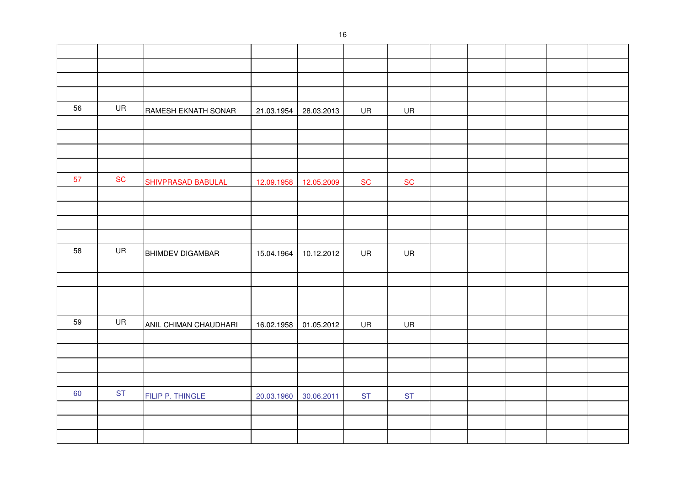| 56 | UR        | RAMESH EKNATH SONAR       | 21.03.1954 | 28.03.2013 | UR        | UR        |  |  |  |
|----|-----------|---------------------------|------------|------------|-----------|-----------|--|--|--|
|    |           |                           |            |            |           |           |  |  |  |
|    |           |                           |            |            |           |           |  |  |  |
|    |           |                           |            |            |           |           |  |  |  |
|    |           |                           |            |            |           |           |  |  |  |
| 57 | <b>SC</b> | <b>SHIVPRASAD BABULAL</b> | 12.09.1958 | 12.05.2009 | <b>SC</b> | SC        |  |  |  |
|    |           |                           |            |            |           |           |  |  |  |
|    |           |                           |            |            |           |           |  |  |  |
|    |           |                           |            |            |           |           |  |  |  |
|    |           |                           |            |            |           |           |  |  |  |
| 58 | UR        | <b>BHIMDEV DIGAMBAR</b>   | 15.04.1964 | 10.12.2012 | UR        | UR        |  |  |  |
|    |           |                           |            |            |           |           |  |  |  |
|    |           |                           |            |            |           |           |  |  |  |
|    |           |                           |            |            |           |           |  |  |  |
|    |           |                           |            |            |           |           |  |  |  |
| 59 | UR        | ANIL CHIMAN CHAUDHARI     | 16.02.1958 | 01.05.2012 | UR        | UR        |  |  |  |
|    |           |                           |            |            |           |           |  |  |  |
|    |           |                           |            |            |           |           |  |  |  |
|    |           |                           |            |            |           |           |  |  |  |
|    |           |                           |            |            |           |           |  |  |  |
| 60 | <b>ST</b> | FILIP P. THINGLE          | 20.03.1960 | 30.06.2011 | <b>ST</b> | <b>ST</b> |  |  |  |
|    |           |                           |            |            |           |           |  |  |  |
|    |           |                           |            |            |           |           |  |  |  |
|    |           |                           |            |            |           |           |  |  |  |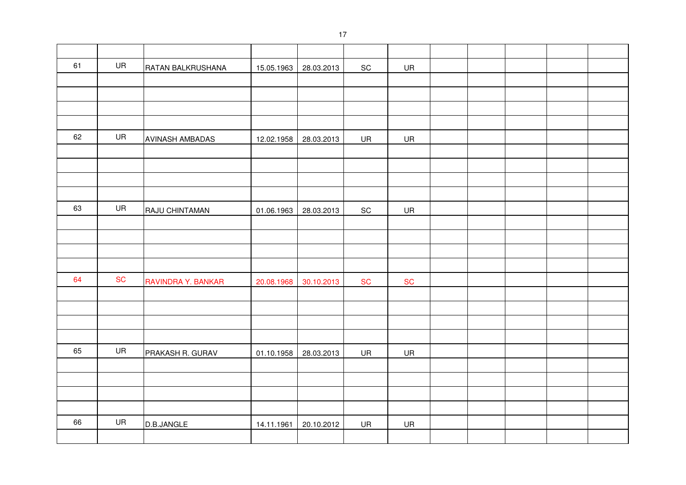| 61 | UR        | RATAN BALKRUSHANA      | 15.05.1963 | 28.03.2013 | SC                           | UR        |  |  |  |
|----|-----------|------------------------|------------|------------|------------------------------|-----------|--|--|--|
|    |           |                        |            |            |                              |           |  |  |  |
|    |           |                        |            |            |                              |           |  |  |  |
|    |           |                        |            |            |                              |           |  |  |  |
|    |           |                        |            |            |                              |           |  |  |  |
| 62 | UR        | <b>AVINASH AMBADAS</b> | 12.02.1958 | 28.03.2013 | UR                           | UR        |  |  |  |
|    |           |                        |            |            |                              |           |  |  |  |
|    |           |                        |            |            |                              |           |  |  |  |
|    |           |                        |            |            |                              |           |  |  |  |
|    |           |                        |            |            |                              |           |  |  |  |
| 63 | UR        | RAJU CHINTAMAN         | 01.06.1963 | 28.03.2013 | $\operatorname{\textsf{SC}}$ | UR        |  |  |  |
|    |           |                        |            |            |                              |           |  |  |  |
|    |           |                        |            |            |                              |           |  |  |  |
|    |           |                        |            |            |                              |           |  |  |  |
|    |           |                        |            |            |                              |           |  |  |  |
| 64 | <b>SC</b> | RAVINDRA Y. BANKAR     | 20.08.1968 | 30.10.2013 | <b>SC</b>                    | <b>SC</b> |  |  |  |
|    |           |                        |            |            |                              |           |  |  |  |
|    |           |                        |            |            |                              |           |  |  |  |
|    |           |                        |            |            |                              |           |  |  |  |
| 65 | UR        |                        |            |            |                              |           |  |  |  |
|    |           | PRAKASH R. GURAV       | 01.10.1958 | 28.03.2013 | UR                           | UR        |  |  |  |
|    |           |                        |            |            |                              |           |  |  |  |
|    |           |                        |            |            |                              |           |  |  |  |
|    |           |                        |            |            |                              |           |  |  |  |
| 66 | UR        |                        |            |            |                              |           |  |  |  |
|    |           | D.B.JANGLE             | 14.11.1961 | 20.10.2012 | UR                           | UR        |  |  |  |
|    |           |                        |            |            |                              |           |  |  |  |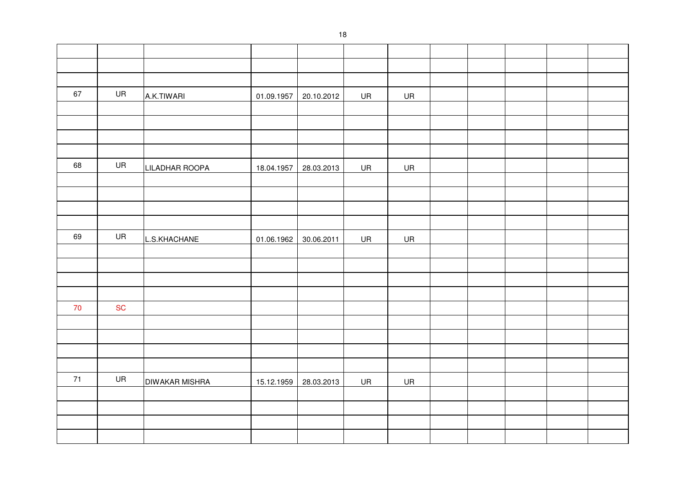| 67 | UR        | A.K.TIWARI            | 01.09.1957 | 20.10.2012 | UR | <b>UR</b> |  |  |  |
|----|-----------|-----------------------|------------|------------|----|-----------|--|--|--|
|    |           |                       |            |            |    |           |  |  |  |
|    |           |                       |            |            |    |           |  |  |  |
|    |           |                       |            |            |    |           |  |  |  |
|    |           |                       |            |            |    |           |  |  |  |
| 68 | UR        | LILADHAR ROOPA        | 18.04.1957 | 28.03.2013 | UR | <b>UR</b> |  |  |  |
|    |           |                       |            |            |    |           |  |  |  |
|    |           |                       |            |            |    |           |  |  |  |
|    |           |                       |            |            |    |           |  |  |  |
|    |           |                       |            |            |    |           |  |  |  |
| 69 | UR        | L.S.KHACHANE          | 01.06.1962 | 30.06.2011 | UR | UR        |  |  |  |
|    |           |                       |            |            |    |           |  |  |  |
|    |           |                       |            |            |    |           |  |  |  |
|    |           |                       |            |            |    |           |  |  |  |
|    |           |                       |            |            |    |           |  |  |  |
| 70 | <b>SC</b> |                       |            |            |    |           |  |  |  |
|    |           |                       |            |            |    |           |  |  |  |
|    |           |                       |            |            |    |           |  |  |  |
|    |           |                       |            |            |    |           |  |  |  |
|    |           |                       |            |            |    |           |  |  |  |
| 71 | UR        | <b>DIWAKAR MISHRA</b> | 15.12.1959 | 28.03.2013 | UR | <b>UR</b> |  |  |  |
|    |           |                       |            |            |    |           |  |  |  |
|    |           |                       |            |            |    |           |  |  |  |
|    |           |                       |            |            |    |           |  |  |  |
|    |           |                       |            |            |    |           |  |  |  |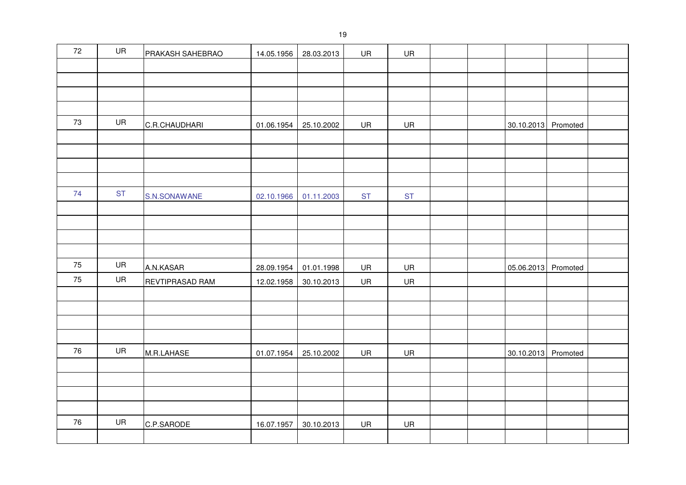| $72\,$ | UR        | PRAKASH SAHEBRAO | 14.05.1956 | 28.03.2013 | UR        | UR        |  |                     |          |  |
|--------|-----------|------------------|------------|------------|-----------|-----------|--|---------------------|----------|--|
|        |           |                  |            |            |           |           |  |                     |          |  |
|        |           |                  |            |            |           |           |  |                     |          |  |
|        |           |                  |            |            |           |           |  |                     |          |  |
|        |           |                  |            |            |           |           |  |                     |          |  |
| 73     | UR        | C.R.CHAUDHARI    | 01.06.1954 | 25.10.2002 | <b>UR</b> | UR        |  | 30.10.2013 Promoted |          |  |
|        |           |                  |            |            |           |           |  |                     |          |  |
|        |           |                  |            |            |           |           |  |                     |          |  |
|        |           |                  |            |            |           |           |  |                     |          |  |
|        |           |                  |            |            |           |           |  |                     |          |  |
| 74     | <b>ST</b> | S.N.SONAWANE     | 02.10.1966 | 01.11.2003 | <b>ST</b> | <b>ST</b> |  |                     |          |  |
|        |           |                  |            |            |           |           |  |                     |          |  |
|        |           |                  |            |            |           |           |  |                     |          |  |
|        |           |                  |            |            |           |           |  |                     |          |  |
|        |           |                  |            |            |           |           |  |                     |          |  |
| 75     | UR        | A.N.KASAR        | 28.09.1954 | 01.01.1998 | UR        | UR        |  | 05.06.2013          | Promoted |  |
| 75     | UR        | REVTIPRASAD RAM  | 12.02.1958 | 30.10.2013 | UR        | UR        |  |                     |          |  |
|        |           |                  |            |            |           |           |  |                     |          |  |
|        |           |                  |            |            |           |           |  |                     |          |  |
|        |           |                  |            |            |           |           |  |                     |          |  |
|        |           |                  |            |            |           |           |  |                     |          |  |
| 76     | UR        | M.R.LAHASE       | 01.07.1954 | 25.10.2002 | UR        | UR        |  | 30.10.2013          | Promoted |  |
|        |           |                  |            |            |           |           |  |                     |          |  |
|        |           |                  |            |            |           |           |  |                     |          |  |
|        |           |                  |            |            |           |           |  |                     |          |  |
|        |           |                  |            |            |           |           |  |                     |          |  |
| 76     | UR        | C.P.SARODE       | 16.07.1957 | 30.10.2013 | UR        | UR        |  |                     |          |  |
|        |           |                  |            |            |           |           |  |                     |          |  |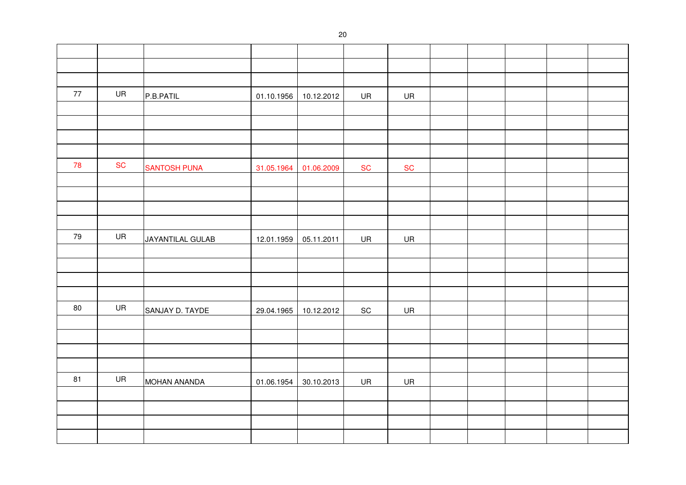| 77 | UR        | P.B.PATIL               | 01.10.1956 | 10.12.2012 | UR                           | UR                           |  |  |  |
|----|-----------|-------------------------|------------|------------|------------------------------|------------------------------|--|--|--|
|    |           |                         |            |            |                              |                              |  |  |  |
|    |           |                         |            |            |                              |                              |  |  |  |
|    |           |                         |            |            |                              |                              |  |  |  |
|    |           |                         |            |            |                              |                              |  |  |  |
| 78 | <b>SC</b> | <b>SANTOSH PUNA</b>     | 31.05.1964 | 01.06.2009 | <b>SC</b>                    | $\operatorname{\mathsf{SC}}$ |  |  |  |
|    |           |                         |            |            |                              |                              |  |  |  |
|    |           |                         |            |            |                              |                              |  |  |  |
|    |           |                         |            |            |                              |                              |  |  |  |
|    |           |                         |            |            |                              |                              |  |  |  |
| 79 | UR        | <b>JAYANTILAL GULAB</b> | 12.01.1959 | 05.11.2011 | UR                           | UR                           |  |  |  |
|    |           |                         |            |            |                              |                              |  |  |  |
|    |           |                         |            |            |                              |                              |  |  |  |
|    |           |                         |            |            |                              |                              |  |  |  |
|    |           |                         |            |            |                              |                              |  |  |  |
| 80 | UR        | SANJAY D. TAYDE         | 29.04.1965 | 10.12.2012 | $\operatorname{\textsf{SC}}$ | UR                           |  |  |  |
|    |           |                         |            |            |                              |                              |  |  |  |
|    |           |                         |            |            |                              |                              |  |  |  |
|    |           |                         |            |            |                              |                              |  |  |  |
|    |           |                         |            |            |                              |                              |  |  |  |
| 81 | UR        | <b>MOHAN ANANDA</b>     | 01.06.1954 | 30.10.2013 | UR                           | UR                           |  |  |  |
|    |           |                         |            |            |                              |                              |  |  |  |
|    |           |                         |            |            |                              |                              |  |  |  |
|    |           |                         |            |            |                              |                              |  |  |  |
|    |           |                         |            |            |                              |                              |  |  |  |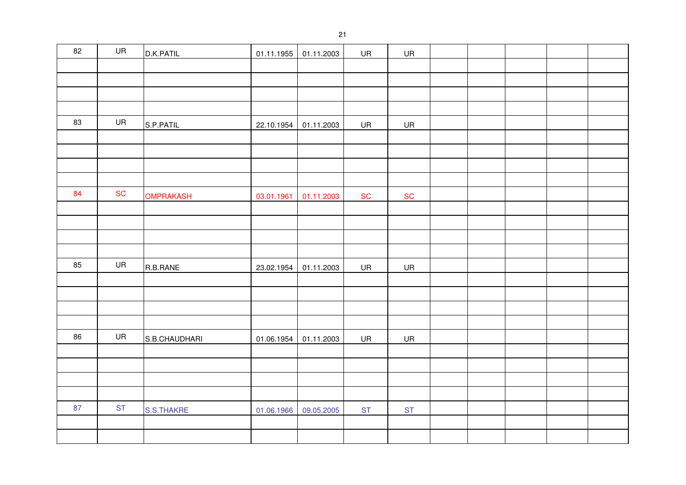| 82 | UR        | D.K.PATIL        | 01.11.1955 | 01.11.2003 | UR        | UR        |  |  |  |
|----|-----------|------------------|------------|------------|-----------|-----------|--|--|--|
|    |           |                  |            |            |           |           |  |  |  |
|    |           |                  |            |            |           |           |  |  |  |
|    |           |                  |            |            |           |           |  |  |  |
|    |           |                  |            |            |           |           |  |  |  |
| 83 | UR        | S.P.PATIL        | 22.10.1954 | 01.11.2003 | UR        | UR        |  |  |  |
|    |           |                  |            |            |           |           |  |  |  |
|    |           |                  |            |            |           |           |  |  |  |
|    |           |                  |            |            |           |           |  |  |  |
|    |           |                  |            |            |           |           |  |  |  |
| 84 | SC        | <b>OMPRAKASH</b> | 03.01.1961 | 01.11.2003 | <b>SC</b> | <b>SC</b> |  |  |  |
|    |           |                  |            |            |           |           |  |  |  |
|    |           |                  |            |            |           |           |  |  |  |
|    |           |                  |            |            |           |           |  |  |  |
|    |           |                  |            |            |           |           |  |  |  |
| 85 | UR        | R.B.RANE         | 23.02.1954 | 01.11.2003 | UR        | <b>UR</b> |  |  |  |
|    |           |                  |            |            |           |           |  |  |  |
|    |           |                  |            |            |           |           |  |  |  |
|    |           |                  |            |            |           |           |  |  |  |
|    |           |                  |            |            |           |           |  |  |  |
| 86 | UR        | S.B.CHAUDHARI    | 01.06.1954 | 01.11.2003 | UR        | UR        |  |  |  |
|    |           |                  |            |            |           |           |  |  |  |
|    |           |                  |            |            |           |           |  |  |  |
|    |           |                  |            |            |           |           |  |  |  |
| 87 | <b>ST</b> |                  |            |            |           |           |  |  |  |
|    |           | S.S.THAKRE       | 01.06.1966 | 09.05.2005 | <b>ST</b> | <b>ST</b> |  |  |  |
|    |           |                  |            |            |           |           |  |  |  |
|    |           |                  |            |            |           |           |  |  |  |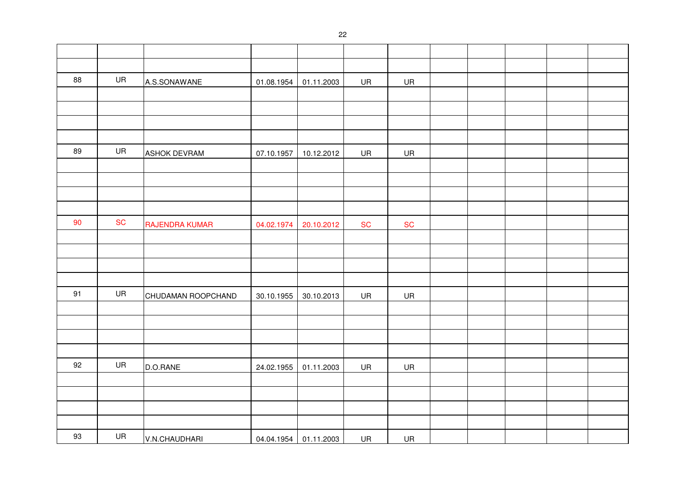| 88 | UR        | A.S.SONAWANE          | 01.08.1954 | 01.11.2003            | UR        | UR        |  |  |  |
|----|-----------|-----------------------|------------|-----------------------|-----------|-----------|--|--|--|
|    |           |                       |            |                       |           |           |  |  |  |
|    |           |                       |            |                       |           |           |  |  |  |
|    |           |                       |            |                       |           |           |  |  |  |
|    |           |                       |            |                       |           |           |  |  |  |
| 89 | UR        | <b>ASHOK DEVRAM</b>   | 07.10.1957 | 10.12.2012            | UR        | UR        |  |  |  |
|    |           |                       |            |                       |           |           |  |  |  |
|    |           |                       |            |                       |           |           |  |  |  |
|    |           |                       |            |                       |           |           |  |  |  |
|    |           |                       |            |                       |           |           |  |  |  |
| 90 | <b>SC</b> | <b>RAJENDRA KUMAR</b> | 04.02.1974 | 20.10.2012            | <b>SC</b> | <b>SC</b> |  |  |  |
|    |           |                       |            |                       |           |           |  |  |  |
|    |           |                       |            |                       |           |           |  |  |  |
|    |           |                       |            |                       |           |           |  |  |  |
|    |           |                       |            |                       |           |           |  |  |  |
| 91 | UR        | CHUDAMAN ROOPCHAND    | 30.10.1955 | 30.10.2013            | UR        | UR        |  |  |  |
|    |           |                       |            |                       |           |           |  |  |  |
|    |           |                       |            |                       |           |           |  |  |  |
|    |           |                       |            |                       |           |           |  |  |  |
|    |           |                       |            |                       |           |           |  |  |  |
| 92 | UR        | D.O.RANE              | 24.02.1955 | 01.11.2003            | UR        | UR        |  |  |  |
|    |           |                       |            |                       |           |           |  |  |  |
|    |           |                       |            |                       |           |           |  |  |  |
|    |           |                       |            |                       |           |           |  |  |  |
|    |           |                       |            |                       |           |           |  |  |  |
| 93 | UR        | V.N.CHAUDHARI         |            | 04.04.1954 01.11.2003 | UR        | UR        |  |  |  |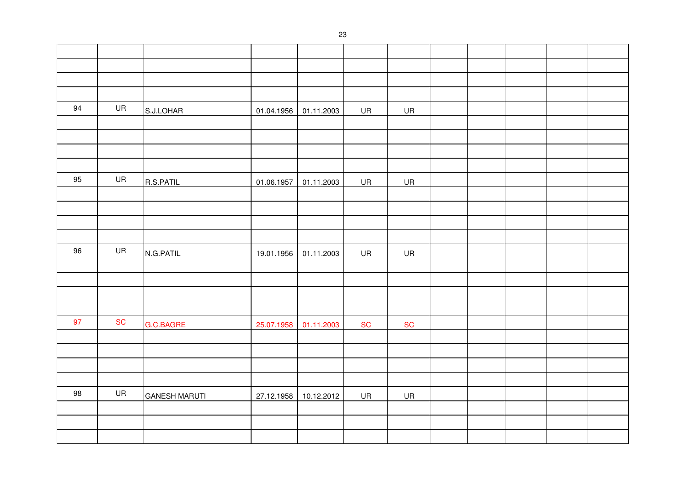| 94 | UR        | S.J.LOHAR            | 01.04.1956 | 01.11.2003 | UR        | UR        |  |  |  |
|----|-----------|----------------------|------------|------------|-----------|-----------|--|--|--|
|    |           |                      |            |            |           |           |  |  |  |
|    |           |                      |            |            |           |           |  |  |  |
|    |           |                      |            |            |           |           |  |  |  |
|    |           |                      |            |            |           |           |  |  |  |
| 95 | UR        | R.S.PATIL            | 01.06.1957 | 01.11.2003 | UR        | <b>UR</b> |  |  |  |
|    |           |                      |            |            |           |           |  |  |  |
|    |           |                      |            |            |           |           |  |  |  |
|    |           |                      |            |            |           |           |  |  |  |
|    |           |                      |            |            |           |           |  |  |  |
| 96 | UR        | N.G.PATIL            | 19.01.1956 | 01.11.2003 | UR        | <b>UR</b> |  |  |  |
|    |           |                      |            |            |           |           |  |  |  |
|    |           |                      |            |            |           |           |  |  |  |
|    |           |                      |            |            |           |           |  |  |  |
|    |           |                      |            |            |           |           |  |  |  |
| 97 | <b>SC</b> | G.C.BAGRE            | 25.07.1958 | 01.11.2003 | <b>SC</b> | SC        |  |  |  |
|    |           |                      |            |            |           |           |  |  |  |
|    |           |                      |            |            |           |           |  |  |  |
|    |           |                      |            |            |           |           |  |  |  |
|    |           |                      |            |            |           |           |  |  |  |
| 98 | UR        | <b>GANESH MARUTI</b> | 27.12.1958 | 10.12.2012 | UR        | UR        |  |  |  |
|    |           |                      |            |            |           |           |  |  |  |
|    |           |                      |            |            |           |           |  |  |  |
|    |           |                      |            |            |           |           |  |  |  |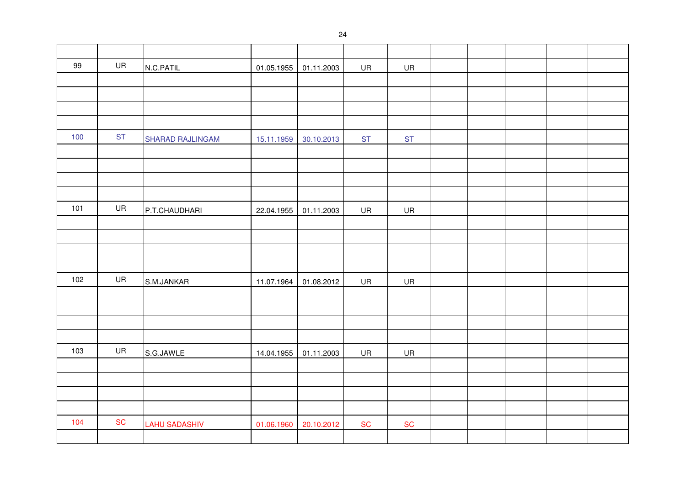| 99  | UR        | N.C.PATIL            | 01.05.1955 | 01.11.2003 | UR        | UR        |  |  |  |
|-----|-----------|----------------------|------------|------------|-----------|-----------|--|--|--|
|     |           |                      |            |            |           |           |  |  |  |
|     |           |                      |            |            |           |           |  |  |  |
|     |           |                      |            |            |           |           |  |  |  |
|     |           |                      |            |            |           |           |  |  |  |
| 100 | <b>ST</b> | SHARAD RAJLINGAM     | 15.11.1959 | 30.10.2013 | <b>ST</b> | <b>ST</b> |  |  |  |
|     |           |                      |            |            |           |           |  |  |  |
|     |           |                      |            |            |           |           |  |  |  |
|     |           |                      |            |            |           |           |  |  |  |
|     |           |                      |            |            |           |           |  |  |  |
| 101 | UR        | P.T.CHAUDHARI        | 22.04.1955 | 01.11.2003 | <b>UR</b> | <b>UR</b> |  |  |  |
|     |           |                      |            |            |           |           |  |  |  |
|     |           |                      |            |            |           |           |  |  |  |
|     |           |                      |            |            |           |           |  |  |  |
|     |           |                      |            |            |           |           |  |  |  |
| 102 | UR        | S.M.JANKAR           | 11.07.1964 | 01.08.2012 | UR        | UR        |  |  |  |
|     |           |                      |            |            |           |           |  |  |  |
|     |           |                      |            |            |           |           |  |  |  |
|     |           |                      |            |            |           |           |  |  |  |
|     |           |                      |            |            |           |           |  |  |  |
| 103 | UR        | S.G.JAWLE            | 14.04.1955 | 01.11.2003 | UR        | UR        |  |  |  |
|     |           |                      |            |            |           |           |  |  |  |
|     |           |                      |            |            |           |           |  |  |  |
|     |           |                      |            |            |           |           |  |  |  |
|     |           |                      |            |            |           |           |  |  |  |
| 104 | <b>SC</b> | <b>LAHU SADASHIV</b> | 01.06.1960 | 20.10.2012 | SC        | <b>SC</b> |  |  |  |
|     |           |                      |            |            |           |           |  |  |  |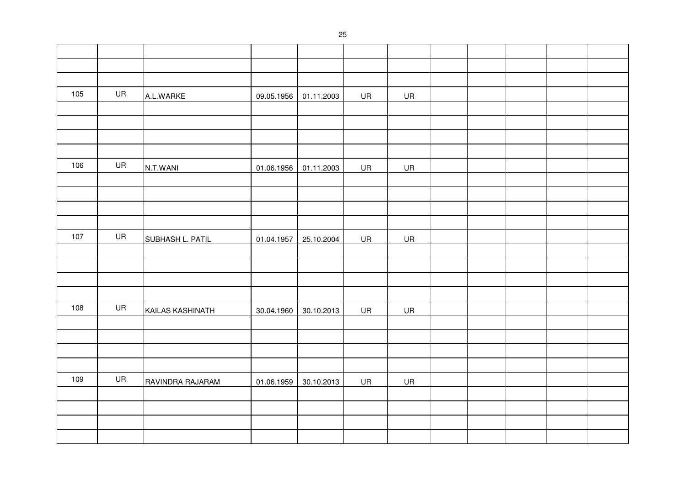| 105 | UR        | A.L.WARKE        | 09.05.1956 | 01.11.2003 | UR | UR |  |  |  |
|-----|-----------|------------------|------------|------------|----|----|--|--|--|
|     |           |                  |            |            |    |    |  |  |  |
|     |           |                  |            |            |    |    |  |  |  |
|     |           |                  |            |            |    |    |  |  |  |
|     |           |                  |            |            |    |    |  |  |  |
| 106 | UR        | N.T.WANI         | 01.06.1956 | 01.11.2003 | UR | UR |  |  |  |
|     |           |                  |            |            |    |    |  |  |  |
|     |           |                  |            |            |    |    |  |  |  |
|     |           |                  |            |            |    |    |  |  |  |
|     |           |                  |            |            |    |    |  |  |  |
| 107 | <b>UR</b> | SUBHASH L. PATIL | 01.04.1957 | 25.10.2004 | UR | UR |  |  |  |
|     |           |                  |            |            |    |    |  |  |  |
|     |           |                  |            |            |    |    |  |  |  |
|     |           |                  |            |            |    |    |  |  |  |
|     |           |                  |            |            |    |    |  |  |  |
| 108 | UR        | KAILAS KASHINATH | 30.04.1960 | 30.10.2013 | UR | UR |  |  |  |
|     |           |                  |            |            |    |    |  |  |  |
|     |           |                  |            |            |    |    |  |  |  |
|     |           |                  |            |            |    |    |  |  |  |
|     |           |                  |            |            |    |    |  |  |  |
| 109 | UR        | RAVINDRA RAJARAM | 01.06.1959 | 30.10.2013 | UR | UR |  |  |  |
|     |           |                  |            |            |    |    |  |  |  |
|     |           |                  |            |            |    |    |  |  |  |
|     |           |                  |            |            |    |    |  |  |  |
|     |           |                  |            |            |    |    |  |  |  |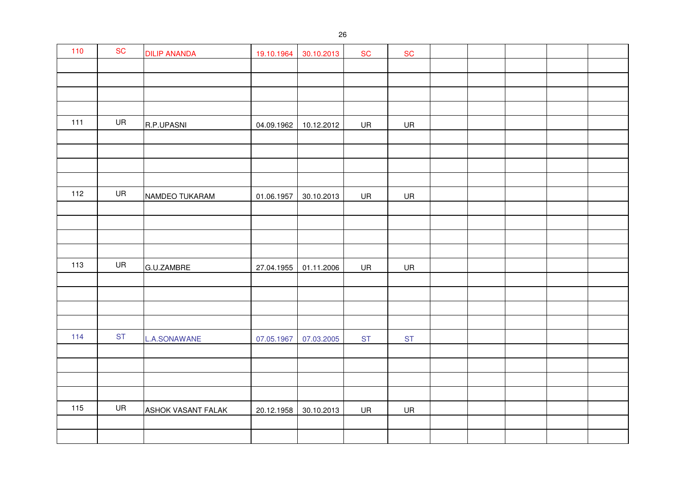| 110 | SC        | <b>DILIP ANANDA</b> | 19.10.1964 | 30.10.2013 | <b>SC</b> | ${\sf SC}$ |  |  |  |
|-----|-----------|---------------------|------------|------------|-----------|------------|--|--|--|
|     |           |                     |            |            |           |            |  |  |  |
|     |           |                     |            |            |           |            |  |  |  |
|     |           |                     |            |            |           |            |  |  |  |
|     |           |                     |            |            |           |            |  |  |  |
| 111 | UR        | R.P.UPASNI          | 04.09.1962 | 10.12.2012 | UR        | UR         |  |  |  |
|     |           |                     |            |            |           |            |  |  |  |
|     |           |                     |            |            |           |            |  |  |  |
|     |           |                     |            |            |           |            |  |  |  |
| 112 | UR        |                     |            |            |           |            |  |  |  |
|     |           | NAMDEO TUKARAM      | 01.06.1957 | 30.10.2013 | UR        | UR         |  |  |  |
|     |           |                     |            |            |           |            |  |  |  |
|     |           |                     |            |            |           |            |  |  |  |
|     |           |                     |            |            |           |            |  |  |  |
| 113 | UR        |                     |            |            |           |            |  |  |  |
|     |           | G.U.ZAMBRE          | 27.04.1955 | 01.11.2006 | UR        | UR         |  |  |  |
|     |           |                     |            |            |           |            |  |  |  |
|     |           |                     |            |            |           |            |  |  |  |
|     |           |                     |            |            |           |            |  |  |  |
| 114 | <b>ST</b> | L.A.SONAWANE        | 07.05.1967 | 07.03.2005 | <b>ST</b> | <b>ST</b>  |  |  |  |
|     |           |                     |            |            |           |            |  |  |  |
|     |           |                     |            |            |           |            |  |  |  |
|     |           |                     |            |            |           |            |  |  |  |
|     |           |                     |            |            |           |            |  |  |  |
| 115 | UR        | ASHOK VASANT FALAK  | 20.12.1958 | 30.10.2013 | UR        | UR         |  |  |  |
|     |           |                     |            |            |           |            |  |  |  |
|     |           |                     |            |            |           |            |  |  |  |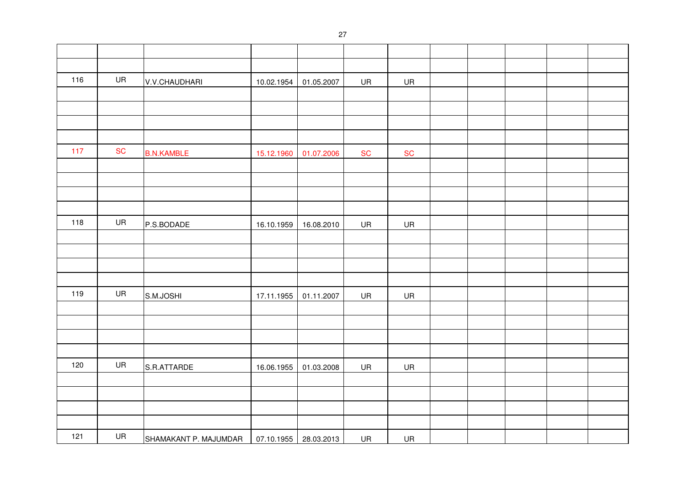| 116 | UR | V.V.CHAUDHARI         | 10.02.1954 | 01.05.2007            | UR         | UR        |  |  |  |
|-----|----|-----------------------|------------|-----------------------|------------|-----------|--|--|--|
|     |    |                       |            |                       |            |           |  |  |  |
|     |    |                       |            |                       |            |           |  |  |  |
|     |    |                       |            |                       |            |           |  |  |  |
|     |    |                       |            |                       |            |           |  |  |  |
| 117 | SC | <b>B.N.KAMBLE</b>     | 15.12.1960 | 01.07.2006            | ${\sf SC}$ | SC        |  |  |  |
|     |    |                       |            |                       |            |           |  |  |  |
|     |    |                       |            |                       |            |           |  |  |  |
|     |    |                       |            |                       |            |           |  |  |  |
|     |    |                       |            |                       |            |           |  |  |  |
| 118 | UR | P.S.BODADE            | 16.10.1959 | 16.08.2010            | <b>UR</b>  | <b>UR</b> |  |  |  |
|     |    |                       |            |                       |            |           |  |  |  |
|     |    |                       |            |                       |            |           |  |  |  |
|     |    |                       |            |                       |            |           |  |  |  |
|     |    |                       |            |                       |            |           |  |  |  |
| 119 | UR | S.M.JOSHI             | 17.11.1955 | 01.11.2007            | <b>UR</b>  | <b>UR</b> |  |  |  |
|     |    |                       |            |                       |            |           |  |  |  |
|     |    |                       |            |                       |            |           |  |  |  |
|     |    |                       |            |                       |            |           |  |  |  |
|     |    |                       |            |                       |            |           |  |  |  |
| 120 | UR | S.R.ATTARDE           | 16.06.1955 | 01.03.2008            | UR         | UR        |  |  |  |
|     |    |                       |            |                       |            |           |  |  |  |
|     |    |                       |            |                       |            |           |  |  |  |
|     |    |                       |            |                       |            |           |  |  |  |
|     |    |                       |            |                       |            |           |  |  |  |
| 121 | UR | SHAMAKANT P. MAJUMDAR |            | 07.10.1955 28.03.2013 | UR         | UR        |  |  |  |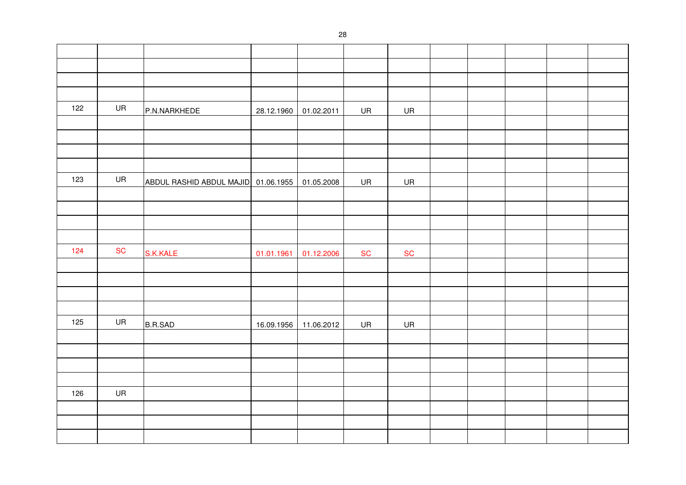| 122 | UR        | P.N.NARKHEDE                        |            | 28.12.1960 01.02.2011 | UR        | UR         |  |  |  |
|-----|-----------|-------------------------------------|------------|-----------------------|-----------|------------|--|--|--|
|     |           |                                     |            |                       |           |            |  |  |  |
|     |           |                                     |            |                       |           |            |  |  |  |
|     |           |                                     |            |                       |           |            |  |  |  |
|     |           |                                     |            |                       |           |            |  |  |  |
| 123 | UR        | ABDUL RASHID ABDUL MAJID 01.06.1955 |            | 01.05.2008            | UR        | UR         |  |  |  |
|     |           |                                     |            |                       |           |            |  |  |  |
|     |           |                                     |            |                       |           |            |  |  |  |
|     |           |                                     |            |                       |           |            |  |  |  |
|     |           |                                     |            |                       |           |            |  |  |  |
| 124 | <b>SC</b> | S.K.KALE                            | 01.01.1961 | 01.12.2006            | <b>SC</b> | ${\sf SC}$ |  |  |  |
|     |           |                                     |            |                       |           |            |  |  |  |
|     |           |                                     |            |                       |           |            |  |  |  |
|     |           |                                     |            |                       |           |            |  |  |  |
|     |           |                                     |            |                       |           |            |  |  |  |
| 125 | UR        | <b>B.R.SAD</b>                      |            | 16.09.1956 11.06.2012 | UR        | <b>UR</b>  |  |  |  |
|     |           |                                     |            |                       |           |            |  |  |  |
|     |           |                                     |            |                       |           |            |  |  |  |
|     |           |                                     |            |                       |           |            |  |  |  |
|     |           |                                     |            |                       |           |            |  |  |  |
| 126 | UR        |                                     |            |                       |           |            |  |  |  |
|     |           |                                     |            |                       |           |            |  |  |  |
|     |           |                                     |            |                       |           |            |  |  |  |
|     |           |                                     |            |                       |           |            |  |  |  |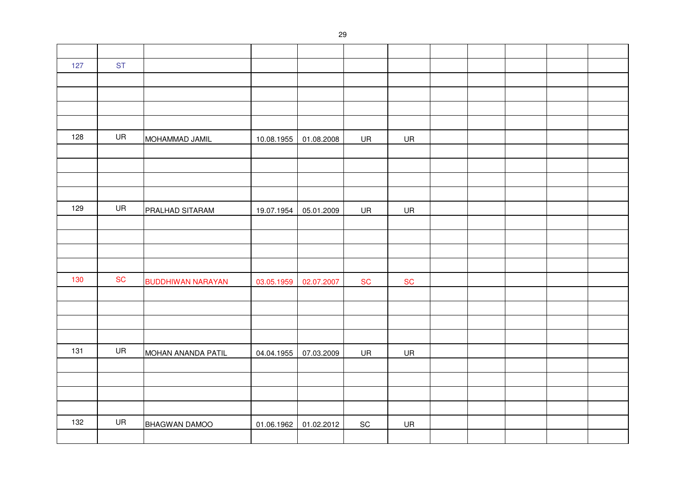| 127 | <b>ST</b> |                          |            |            |                              |           |  |  |  |
|-----|-----------|--------------------------|------------|------------|------------------------------|-----------|--|--|--|
|     |           |                          |            |            |                              |           |  |  |  |
|     |           |                          |            |            |                              |           |  |  |  |
|     |           |                          |            |            |                              |           |  |  |  |
|     |           |                          |            |            |                              |           |  |  |  |
| 128 | UR        | MOHAMMAD JAMIL           | 10.08.1955 | 01.08.2008 | UR                           | UR        |  |  |  |
|     |           |                          |            |            |                              |           |  |  |  |
|     |           |                          |            |            |                              |           |  |  |  |
|     |           |                          |            |            |                              |           |  |  |  |
|     |           |                          |            |            |                              |           |  |  |  |
| 129 | UR        | PRALHAD SITARAM          | 19.07.1954 | 05.01.2009 | UR                           | UR        |  |  |  |
|     |           |                          |            |            |                              |           |  |  |  |
|     |           |                          |            |            |                              |           |  |  |  |
|     |           |                          |            |            |                              |           |  |  |  |
|     |           |                          |            |            |                              |           |  |  |  |
| 130 | <b>SC</b> | <b>BUDDHIWAN NARAYAN</b> | 03.05.1959 | 02.07.2007 | <b>SC</b>                    | <b>SC</b> |  |  |  |
|     |           |                          |            |            |                              |           |  |  |  |
|     |           |                          |            |            |                              |           |  |  |  |
|     |           |                          |            |            |                              |           |  |  |  |
|     |           |                          |            |            |                              |           |  |  |  |
| 131 | UR        | MOHAN ANANDA PATIL       | 04.04.1955 | 07.03.2009 | UR                           | UR        |  |  |  |
|     |           |                          |            |            |                              |           |  |  |  |
|     |           |                          |            |            |                              |           |  |  |  |
|     |           |                          |            |            |                              |           |  |  |  |
|     |           |                          |            |            |                              |           |  |  |  |
| 132 | UR        | BHAGWAN DAMOO            | 01.06.1962 | 01.02.2012 | $\operatorname{\textsf{SC}}$ | UR        |  |  |  |
|     |           |                          |            |            |                              |           |  |  |  |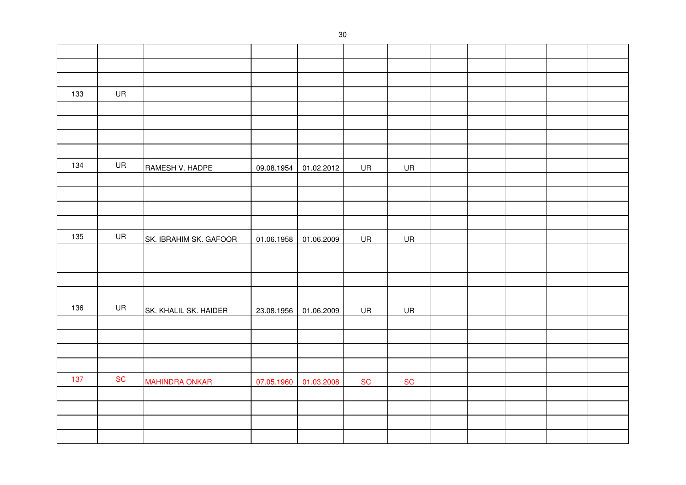| 133 | UR        |                        |            |            |           |           |  |  |  |
|-----|-----------|------------------------|------------|------------|-----------|-----------|--|--|--|
|     |           |                        |            |            |           |           |  |  |  |
|     |           |                        |            |            |           |           |  |  |  |
|     |           |                        |            |            |           |           |  |  |  |
|     |           |                        |            |            |           |           |  |  |  |
| 134 | UR        | RAMESH V. HADPE        | 09.08.1954 | 01.02.2012 | UR        | UR        |  |  |  |
|     |           |                        |            |            |           |           |  |  |  |
|     |           |                        |            |            |           |           |  |  |  |
|     |           |                        |            |            |           |           |  |  |  |
|     |           |                        |            |            |           |           |  |  |  |
| 135 | UR        | SK. IBRAHIM SK. GAFOOR | 01.06.1958 | 01.06.2009 | UR        | UR        |  |  |  |
|     |           |                        |            |            |           |           |  |  |  |
|     |           |                        |            |            |           |           |  |  |  |
|     |           |                        |            |            |           |           |  |  |  |
|     |           |                        |            |            |           |           |  |  |  |
| 136 | UR        | SK. KHALIL SK. HAIDER  | 23.08.1956 | 01.06.2009 | UR        | <b>UR</b> |  |  |  |
|     |           |                        |            |            |           |           |  |  |  |
|     |           |                        |            |            |           |           |  |  |  |
|     |           |                        |            |            |           |           |  |  |  |
|     |           |                        |            |            |           |           |  |  |  |
| 137 | <b>SC</b> | <b>MAHINDRA ONKAR</b>  | 07.05.1960 | 01.03.2008 | <b>SC</b> | SC        |  |  |  |
|     |           |                        |            |            |           |           |  |  |  |
|     |           |                        |            |            |           |           |  |  |  |
|     |           |                        |            |            |           |           |  |  |  |
|     |           |                        |            |            |           |           |  |  |  |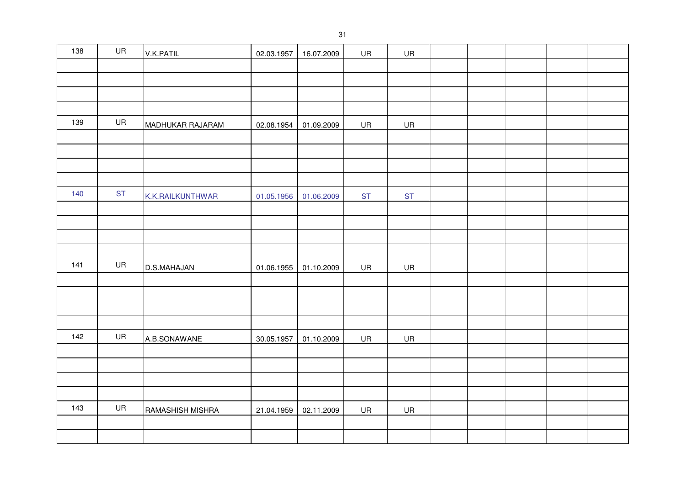| 138 | UR        | V.K.PATIL        | 02.03.1957 | 16.07.2009 | UR        | UR        |  |  |  |
|-----|-----------|------------------|------------|------------|-----------|-----------|--|--|--|
|     |           |                  |            |            |           |           |  |  |  |
|     |           |                  |            |            |           |           |  |  |  |
|     |           |                  |            |            |           |           |  |  |  |
|     |           |                  |            |            |           |           |  |  |  |
| 139 | UR        | MADHUKAR RAJARAM | 02.08.1954 | 01.09.2009 | UR        | UR        |  |  |  |
|     |           |                  |            |            |           |           |  |  |  |
|     |           |                  |            |            |           |           |  |  |  |
|     |           |                  |            |            |           |           |  |  |  |
|     |           |                  |            |            |           |           |  |  |  |
| 140 | <b>ST</b> | K.K.RAILKUNTHWAR | 01.05.1956 | 01.06.2009 | <b>ST</b> | <b>ST</b> |  |  |  |
|     |           |                  |            |            |           |           |  |  |  |
|     |           |                  |            |            |           |           |  |  |  |
|     |           |                  |            |            |           |           |  |  |  |
|     |           |                  |            |            |           |           |  |  |  |
| 141 | UR        | D.S.MAHAJAN      | 01.06.1955 | 01.10.2009 | <b>UR</b> | <b>UR</b> |  |  |  |
|     |           |                  |            |            |           |           |  |  |  |
|     |           |                  |            |            |           |           |  |  |  |
|     |           |                  |            |            |           |           |  |  |  |
| 142 | UR        |                  |            |            |           |           |  |  |  |
|     |           | A.B.SONAWANE     | 30.05.1957 | 01.10.2009 | UR        | UR        |  |  |  |
|     |           |                  |            |            |           |           |  |  |  |
|     |           |                  |            |            |           |           |  |  |  |
|     |           |                  |            |            |           |           |  |  |  |
| 143 | UR        | RAMASHISH MISHRA | 21.04.1959 | 02.11.2009 | UR        | UR        |  |  |  |
|     |           |                  |            |            |           |           |  |  |  |
|     |           |                  |            |            |           |           |  |  |  |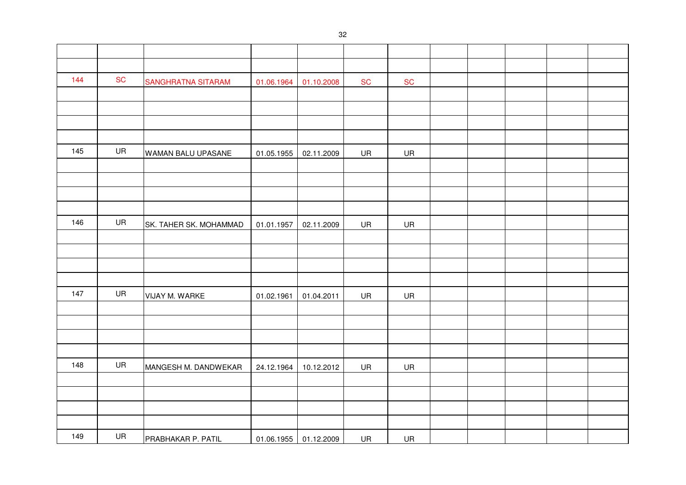| 144 | <b>SC</b> | SANGHRATNA SITARAM     | 01.06.1964 | 01.10.2008            | ${\sf SC}$ | ${\sf SC}$ |  |  |  |
|-----|-----------|------------------------|------------|-----------------------|------------|------------|--|--|--|
|     |           |                        |            |                       |            |            |  |  |  |
|     |           |                        |            |                       |            |            |  |  |  |
|     |           |                        |            |                       |            |            |  |  |  |
|     |           |                        |            |                       |            |            |  |  |  |
| 145 | UR        | WAMAN BALU UPASANE     | 01.05.1955 | 02.11.2009            | UR         | UR         |  |  |  |
|     |           |                        |            |                       |            |            |  |  |  |
|     |           |                        |            |                       |            |            |  |  |  |
|     |           |                        |            |                       |            |            |  |  |  |
|     |           |                        |            |                       |            |            |  |  |  |
| 146 | UR        | SK. TAHER SK. MOHAMMAD | 01.01.1957 | 02.11.2009            | UR         | UR         |  |  |  |
|     |           |                        |            |                       |            |            |  |  |  |
|     |           |                        |            |                       |            |            |  |  |  |
|     |           |                        |            |                       |            |            |  |  |  |
|     |           |                        |            |                       |            |            |  |  |  |
| 147 | UR        | VIJAY M. WARKE         | 01.02.1961 | 01.04.2011            | UR         | UR         |  |  |  |
|     |           |                        |            |                       |            |            |  |  |  |
|     |           |                        |            |                       |            |            |  |  |  |
|     |           |                        |            |                       |            |            |  |  |  |
|     |           |                        |            |                       |            |            |  |  |  |
| 148 | UR        | MANGESH M. DANDWEKAR   | 24.12.1964 | 10.12.2012            | UR         | UR         |  |  |  |
|     |           |                        |            |                       |            |            |  |  |  |
|     |           |                        |            |                       |            |            |  |  |  |
|     |           |                        |            |                       |            |            |  |  |  |
|     |           |                        |            |                       |            |            |  |  |  |
| 149 | UR        | PRABHAKAR P. PATIL     |            | 01.06.1955 01.12.2009 | UR         | UR         |  |  |  |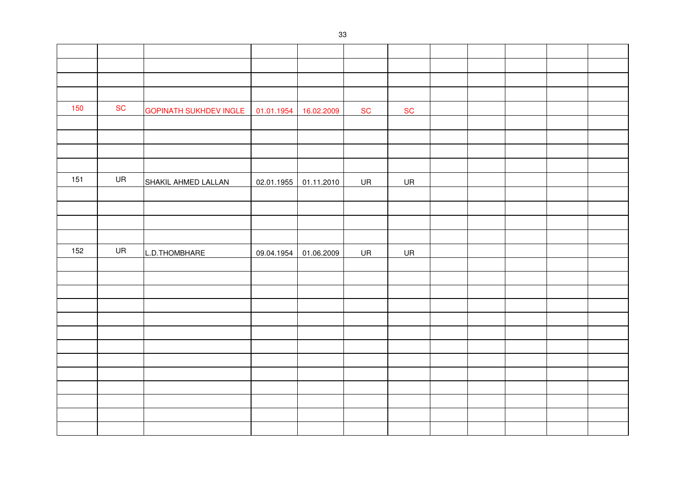| 150 | <b>SC</b> | <b>GOPINATH SUKHDEV INGLE</b> | 01.01.1954 | 16.02.2009 | <b>SC</b> | <b>SC</b> |  |  |  |
|-----|-----------|-------------------------------|------------|------------|-----------|-----------|--|--|--|
|     |           |                               |            |            |           |           |  |  |  |
|     |           |                               |            |            |           |           |  |  |  |
|     |           |                               |            |            |           |           |  |  |  |
|     |           |                               |            |            |           |           |  |  |  |
| 151 | UR        | SHAKIL AHMED LALLAN           | 02.01.1955 | 01.11.2010 | <b>UR</b> | <b>UR</b> |  |  |  |
|     |           |                               |            |            |           |           |  |  |  |
|     |           |                               |            |            |           |           |  |  |  |
|     |           |                               |            |            |           |           |  |  |  |
|     |           |                               |            |            |           |           |  |  |  |
| 152 | UR        | L.D.THOMBHARE                 | 09.04.1954 | 01.06.2009 | UR        | UR        |  |  |  |
|     |           |                               |            |            |           |           |  |  |  |
|     |           |                               |            |            |           |           |  |  |  |
|     |           |                               |            |            |           |           |  |  |  |
|     |           |                               |            |            |           |           |  |  |  |
|     |           |                               |            |            |           |           |  |  |  |
|     |           |                               |            |            |           |           |  |  |  |
|     |           |                               |            |            |           |           |  |  |  |
|     |           |                               |            |            |           |           |  |  |  |
|     |           |                               |            |            |           |           |  |  |  |
|     |           |                               |            |            |           |           |  |  |  |
|     |           |                               |            |            |           |           |  |  |  |
|     |           |                               |            |            |           |           |  |  |  |
|     |           |                               |            |            |           |           |  |  |  |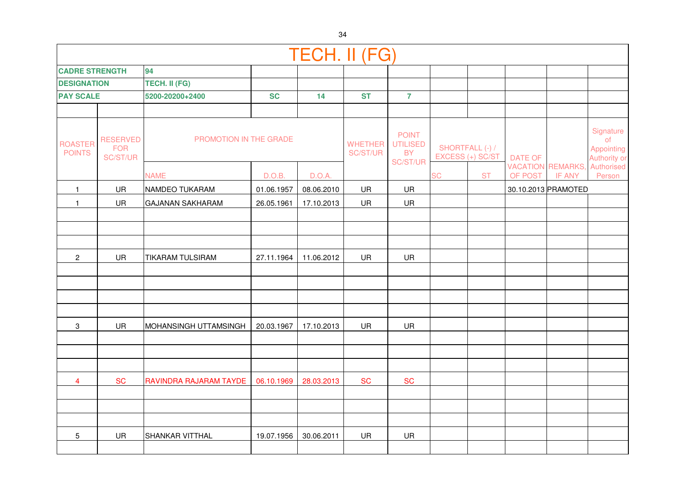|                                 |                                           |                               |            | <b>TECH. II (FG)</b> |                                   |                                                                 |                  |                 |                |                                           |                                               |
|---------------------------------|-------------------------------------------|-------------------------------|------------|----------------------|-----------------------------------|-----------------------------------------------------------------|------------------|-----------------|----------------|-------------------------------------------|-----------------------------------------------|
| <b>CADRE STRENGTH</b>           |                                           | 94                            |            |                      |                                   |                                                                 |                  |                 |                |                                           |                                               |
| <b>DESIGNATION</b>              |                                           | TECH. II (FG)                 |            |                      |                                   |                                                                 |                  |                 |                |                                           |                                               |
| <b>PAY SCALE</b>                |                                           | 5200-20200+2400               | <b>SC</b>  | 14                   | <b>ST</b>                         | $\overline{7}$                                                  |                  |                 |                |                                           |                                               |
|                                 |                                           |                               |            |                      |                                   |                                                                 |                  |                 |                |                                           |                                               |
| <b>ROASTER</b><br><b>POINTS</b> | <b>RESERVED</b><br><b>FOR</b><br>SC/ST/UR | <b>PROMOTION IN THE GRADE</b> |            |                      | <b>WHETHER</b><br><b>SC/ST/UR</b> | <b>POINT</b><br><b>UTILISED</b><br><b>BY</b><br><b>SC/ST/UR</b> | EXCESS (+) SC/ST | SHORTFALL (-) / | <b>DATE OF</b> |                                           | Signature<br>of<br>Appointing<br>Authority or |
|                                 |                                           | <b>NAME</b>                   | D.O.B.     | D.O.A.               |                                   |                                                                 | <b>SC</b>        | <b>ST</b>       | OF POST        | <b>VACATION REMARKS,</b><br><b>IF ANY</b> | Authorised<br>Person                          |
| $\mathbf{1}$                    | UR                                        | NAMDEO TUKARAM                | 01.06.1957 | 08.06.2010           | <b>UR</b>                         | UR                                                              |                  |                 |                | 30.10.2013 PRAMOTED                       |                                               |
| $\mathbf{1}$                    | UR                                        | <b>GAJANAN SAKHARAM</b>       | 26.05.1961 | 17.10.2013           | UR                                | UR                                                              |                  |                 |                |                                           |                                               |
|                                 |                                           |                               |            |                      |                                   |                                                                 |                  |                 |                |                                           |                                               |
|                                 |                                           |                               |            |                      |                                   |                                                                 |                  |                 |                |                                           |                                               |
|                                 |                                           |                               |            |                      |                                   |                                                                 |                  |                 |                |                                           |                                               |
| $\sqrt{2}$                      | <b>UR</b>                                 | <b>TIKARAM TULSIRAM</b>       | 27.11.1964 | 11.06.2012           | UR                                | <b>UR</b>                                                       |                  |                 |                |                                           |                                               |
|                                 |                                           |                               |            |                      |                                   |                                                                 |                  |                 |                |                                           |                                               |
|                                 |                                           |                               |            |                      |                                   |                                                                 |                  |                 |                |                                           |                                               |
|                                 |                                           |                               |            |                      |                                   |                                                                 |                  |                 |                |                                           |                                               |
|                                 |                                           |                               |            |                      |                                   |                                                                 |                  |                 |                |                                           |                                               |
| 3                               | UR                                        | MOHANSINGH UTTAMSINGH         | 20.03.1967 | 17.10.2013           | UR                                | <b>UR</b>                                                       |                  |                 |                |                                           |                                               |
|                                 |                                           |                               |            |                      |                                   |                                                                 |                  |                 |                |                                           |                                               |
|                                 |                                           |                               |            |                      |                                   |                                                                 |                  |                 |                |                                           |                                               |
|                                 |                                           |                               |            |                      |                                   |                                                                 |                  |                 |                |                                           |                                               |
| 4                               | <b>SC</b>                                 | RAVINDRA RAJARAM TAYDE        | 06.10.1969 | 28.03.2013           | <b>SC</b>                         | <b>SC</b>                                                       |                  |                 |                |                                           |                                               |
|                                 |                                           |                               |            |                      |                                   |                                                                 |                  |                 |                |                                           |                                               |
|                                 |                                           |                               |            |                      |                                   |                                                                 |                  |                 |                |                                           |                                               |
|                                 |                                           |                               |            |                      |                                   |                                                                 |                  |                 |                |                                           |                                               |
| 5                               | <b>UR</b>                                 | SHANKAR VITTHAL               | 19.07.1956 | 30.06.2011           | UR                                | UR                                                              |                  |                 |                |                                           |                                               |
|                                 |                                           |                               |            |                      |                                   |                                                                 |                  |                 |                |                                           |                                               |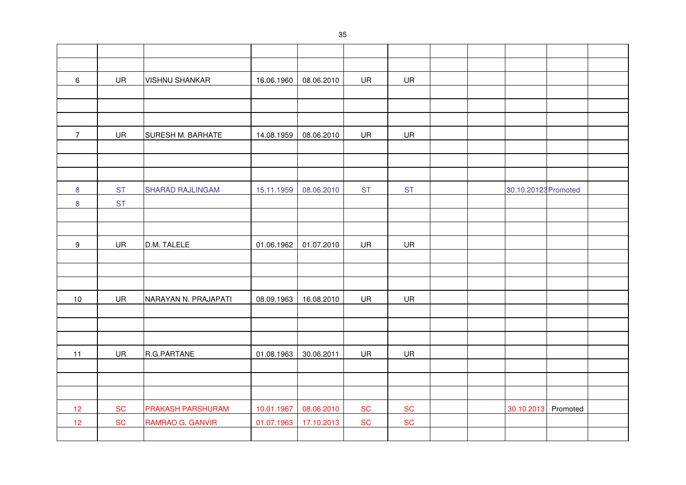| $\,6\,$          | UR        | <b>VISHNU SHANKAR</b>   | 16.06.1960 | 08.06.2010 | UR        | UR        |  |                      |  |
|------------------|-----------|-------------------------|------------|------------|-----------|-----------|--|----------------------|--|
|                  |           |                         |            |            |           |           |  |                      |  |
|                  |           |                         |            |            |           |           |  |                      |  |
|                  |           |                         |            |            |           |           |  |                      |  |
| $\overline{7}$   | UR        | SURESH M. BARHATE       | 14.08.1959 | 08.06.2010 | UR        | UR        |  |                      |  |
|                  |           |                         |            |            |           |           |  |                      |  |
|                  |           |                         |            |            |           |           |  |                      |  |
|                  |           |                         |            |            |           |           |  |                      |  |
| 8                | <b>ST</b> | <b>SHARAD RAJLINGAM</b> | 15.11.1959 | 08.06.2010 | <b>ST</b> | <b>ST</b> |  | 30.10.20123 Promoted |  |
| $\bf8$           | <b>ST</b> |                         |            |            |           |           |  |                      |  |
|                  |           |                         |            |            |           |           |  |                      |  |
|                  |           |                         |            |            |           |           |  |                      |  |
| $\boldsymbol{9}$ | UR        | D.M. TALELE             | 01.06.1962 | 01.07.2010 | UR        | UR        |  |                      |  |
|                  |           |                         |            |            |           |           |  |                      |  |
|                  |           |                         |            |            |           |           |  |                      |  |
|                  |           |                         |            |            |           |           |  |                      |  |
| 10               | UR        | NARAYAN N. PRAJAPATI    | 08.09.1963 | 16.08.2010 | UR        | UR        |  |                      |  |
|                  |           |                         |            |            |           |           |  |                      |  |
|                  |           |                         |            |            |           |           |  |                      |  |
|                  |           |                         |            |            |           |           |  |                      |  |
| 11               | UR        | R.G.PARTANE             | 01.08.1963 | 30.06.2011 | UR        | UR        |  |                      |  |
|                  |           |                         |            |            |           |           |  |                      |  |
|                  |           |                         |            |            |           |           |  |                      |  |
|                  |           |                         |            |            |           |           |  |                      |  |
| 12               | <b>SC</b> | PRAKASH PARSHURAM       | 10.01.1967 | 08.06.2010 | <b>SC</b> | <b>SC</b> |  | 30.10.2013 Promoted  |  |
| 12               | <b>SC</b> | RAMRAO G. GANVIR        | 01.07.1963 | 17.10.2013 | <b>SC</b> | <b>SC</b> |  |                      |  |
|                  |           |                         |            |            |           |           |  |                      |  |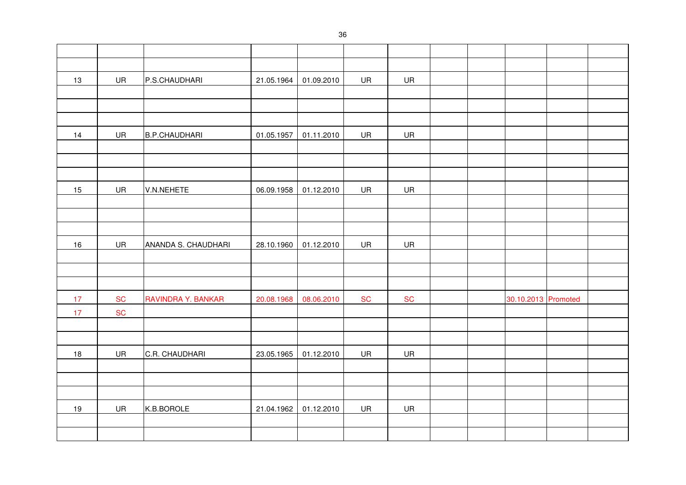| 13 | UR        | P.S.CHAUDHARI        | 21.05.1964 | 01.09.2010 | UR        | UR        |  |                     |  |
|----|-----------|----------------------|------------|------------|-----------|-----------|--|---------------------|--|
|    |           |                      |            |            |           |           |  |                     |  |
|    |           |                      |            |            |           |           |  |                     |  |
|    |           |                      |            |            |           |           |  |                     |  |
| 14 | UR        | <b>B.P.CHAUDHARI</b> | 01.05.1957 | 01.11.2010 | UR        | UR        |  |                     |  |
|    |           |                      |            |            |           |           |  |                     |  |
|    |           |                      |            |            |           |           |  |                     |  |
|    |           |                      |            |            |           |           |  |                     |  |
| 15 | UR        | V.N.NEHETE           | 06.09.1958 | 01.12.2010 | UR        | UR        |  |                     |  |
|    |           |                      |            |            |           |           |  |                     |  |
|    |           |                      |            |            |           |           |  |                     |  |
|    |           |                      |            |            |           |           |  |                     |  |
| 16 | UR        | ANANDA S. CHAUDHARI  | 28.10.1960 | 01.12.2010 | UR        | UR        |  |                     |  |
|    |           |                      |            |            |           |           |  |                     |  |
|    |           |                      |            |            |           |           |  |                     |  |
|    |           |                      |            |            |           |           |  |                     |  |
| 17 | <b>SC</b> | RAVINDRA Y. BANKAR   | 20.08.1968 | 08.06.2010 | <b>SC</b> | <b>SC</b> |  | 30.10.2013 Promoted |  |
| 17 | <b>SC</b> |                      |            |            |           |           |  |                     |  |
|    |           |                      |            |            |           |           |  |                     |  |
|    |           |                      |            |            |           |           |  |                     |  |
| 18 | UR        | C.R. CHAUDHARI       | 23.05.1965 | 01.12.2010 | UR        | UR        |  |                     |  |
|    |           |                      |            |            |           |           |  |                     |  |
|    |           |                      |            |            |           |           |  |                     |  |
|    |           |                      |            |            |           |           |  |                     |  |
| 19 | UR        | K.B.BOROLE           | 21.04.1962 | 01.12.2010 | UR        | UR        |  |                     |  |
|    |           |                      |            |            |           |           |  |                     |  |
|    |           |                      |            |            |           |           |  |                     |  |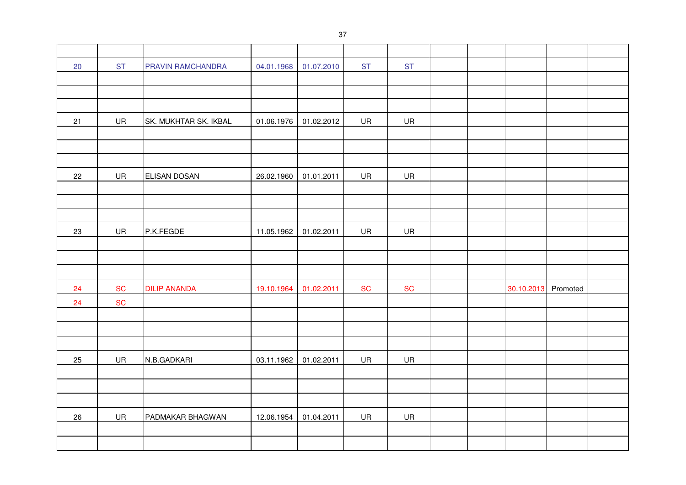| 20 | <b>ST</b> | PRAVIN RAMCHANDRA     | 04.01.1968 | 01.07.2010 | <b>ST</b> | <b>ST</b> |  |            |          |  |
|----|-----------|-----------------------|------------|------------|-----------|-----------|--|------------|----------|--|
|    |           |                       |            |            |           |           |  |            |          |  |
|    |           |                       |            |            |           |           |  |            |          |  |
|    |           |                       |            |            |           |           |  |            |          |  |
| 21 | UR        | SK. MUKHTAR SK. IKBAL | 01.06.1976 | 01.02.2012 | UR        | UR        |  |            |          |  |
|    |           |                       |            |            |           |           |  |            |          |  |
|    |           |                       |            |            |           |           |  |            |          |  |
|    |           |                       |            |            |           |           |  |            |          |  |
| 22 | UR        | ELISAN DOSAN          | 26.02.1960 | 01.01.2011 | UR        | UR        |  |            |          |  |
|    |           |                       |            |            |           |           |  |            |          |  |
|    |           |                       |            |            |           |           |  |            |          |  |
|    |           |                       |            |            |           |           |  |            |          |  |
| 23 | UR        | P.K.FEGDE             | 11.05.1962 | 01.02.2011 | UR        | UR        |  |            |          |  |
|    |           |                       |            |            |           |           |  |            |          |  |
|    |           |                       |            |            |           |           |  |            |          |  |
|    |           |                       |            |            |           |           |  |            |          |  |
| 24 | <b>SC</b> | <b>DILIP ANANDA</b>   | 19.10.1964 | 01.02.2011 | <b>SC</b> | <b>SC</b> |  | 30.10.2013 | Promoted |  |
| 24 | <b>SC</b> |                       |            |            |           |           |  |            |          |  |
|    |           |                       |            |            |           |           |  |            |          |  |
|    |           |                       |            |            |           |           |  |            |          |  |
|    |           |                       |            |            |           |           |  |            |          |  |
| 25 | UR        | N.B.GADKARI           | 03.11.1962 | 01.02.2011 | UR        | UR        |  |            |          |  |
|    |           |                       |            |            |           |           |  |            |          |  |
|    |           |                       |            |            |           |           |  |            |          |  |
|    |           |                       |            |            |           |           |  |            |          |  |
| 26 | UR        | PADMAKAR BHAGWAN      | 12.06.1954 | 01.04.2011 | UR        | UR        |  |            |          |  |
|    |           |                       |            |            |           |           |  |            |          |  |
|    |           |                       |            |            |           |           |  |            |          |  |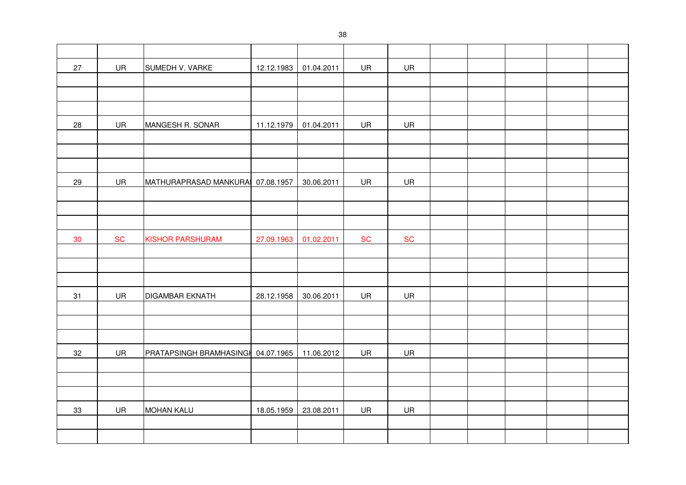| 27 | UR                           | SUMEDH V. VARKE                    | 12.12.1983 | 01.04.2011 | UR        | UR         |  |  |  |
|----|------------------------------|------------------------------------|------------|------------|-----------|------------|--|--|--|
|    |                              |                                    |            |            |           |            |  |  |  |
|    |                              |                                    |            |            |           |            |  |  |  |
|    |                              |                                    |            |            |           |            |  |  |  |
| 28 | UR                           | MANGESH R. SONAR                   | 11.12.1979 | 01.04.2011 | UR        | UR         |  |  |  |
|    |                              |                                    |            |            |           |            |  |  |  |
|    |                              |                                    |            |            |           |            |  |  |  |
|    |                              |                                    |            |            |           |            |  |  |  |
| 29 | UR                           | MATHURAPRASAD MANKURA 07.08.1957   |            | 30.06.2011 | UR        | UR         |  |  |  |
|    |                              |                                    |            |            |           |            |  |  |  |
|    |                              |                                    |            |            |           |            |  |  |  |
|    |                              |                                    |            |            |           |            |  |  |  |
| 30 | $\operatorname{\mathsf{SC}}$ | <b>KISHOR PARSHURAM</b>            | 27.09.1963 | 01.02.2011 | <b>SC</b> | ${\sf SC}$ |  |  |  |
|    |                              |                                    |            |            |           |            |  |  |  |
|    |                              |                                    |            |            |           |            |  |  |  |
|    |                              |                                    |            |            |           |            |  |  |  |
| 31 | UR                           | <b>DIGAMBAR EKNATH</b>             | 28.12.1958 | 30.06.2011 | UR        | UR         |  |  |  |
|    |                              |                                    |            |            |           |            |  |  |  |
|    |                              |                                    |            |            |           |            |  |  |  |
|    |                              |                                    |            |            |           |            |  |  |  |
| 32 | UR                           | PRATAPSINGH BRAMHASINGH 04.07.1965 |            | 11.06.2012 | UR        | UR         |  |  |  |
|    |                              |                                    |            |            |           |            |  |  |  |
|    |                              |                                    |            |            |           |            |  |  |  |
|    |                              |                                    |            |            |           |            |  |  |  |
| 33 | UR                           | <b>MOHAN KALU</b>                  | 18.05.1959 | 23.08.2011 | UR        | UR         |  |  |  |
|    |                              |                                    |            |            |           |            |  |  |  |
|    |                              |                                    |            |            |           |            |  |  |  |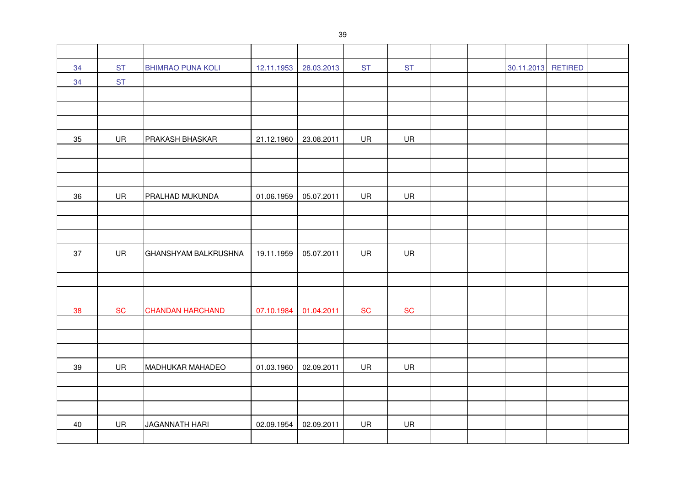| 34 | <b>ST</b> | <b>BHIMRAO PUNA KOLI</b> | 12.11.1953 | 28.03.2013 | <b>ST</b> | <b>ST</b> |  | 30.11.2013 RETIRED |  |
|----|-----------|--------------------------|------------|------------|-----------|-----------|--|--------------------|--|
| 34 | <b>ST</b> |                          |            |            |           |           |  |                    |  |
|    |           |                          |            |            |           |           |  |                    |  |
|    |           |                          |            |            |           |           |  |                    |  |
|    |           |                          |            |            |           |           |  |                    |  |
| 35 | UR        | PRAKASH BHASKAR          | 21.12.1960 | 23.08.2011 | UR        | UR        |  |                    |  |
|    |           |                          |            |            |           |           |  |                    |  |
|    |           |                          |            |            |           |           |  |                    |  |
|    |           |                          |            |            |           |           |  |                    |  |
| 36 | UR        | PRALHAD MUKUNDA          | 01.06.1959 | 05.07.2011 | UR        | UR        |  |                    |  |
|    |           |                          |            |            |           |           |  |                    |  |
|    |           |                          |            |            |           |           |  |                    |  |
|    |           |                          |            |            |           |           |  |                    |  |
| 37 | UR        | GHANSHYAM BALKRUSHNA     | 19.11.1959 | 05.07.2011 | UR        | UR        |  |                    |  |
|    |           |                          |            |            |           |           |  |                    |  |
|    |           |                          |            |            |           |           |  |                    |  |
|    |           |                          |            |            |           |           |  |                    |  |
| 38 | <b>SC</b> | <b>CHANDAN HARCHAND</b>  | 07.10.1984 | 01.04.2011 | <b>SC</b> | <b>SC</b> |  |                    |  |
|    |           |                          |            |            |           |           |  |                    |  |
|    |           |                          |            |            |           |           |  |                    |  |
|    |           |                          |            |            |           |           |  |                    |  |
| 39 | UR        | <b>MADHUKAR MAHADEO</b>  | 01.03.1960 | 02.09.2011 | UR        | UR        |  |                    |  |
|    |           |                          |            |            |           |           |  |                    |  |
|    |           |                          |            |            |           |           |  |                    |  |
|    |           |                          |            |            |           |           |  |                    |  |
| 40 | UR        | <b>JAGANNATH HARI</b>    | 02.09.1954 | 02.09.2011 | UR        | UR        |  |                    |  |
|    |           |                          |            |            |           |           |  |                    |  |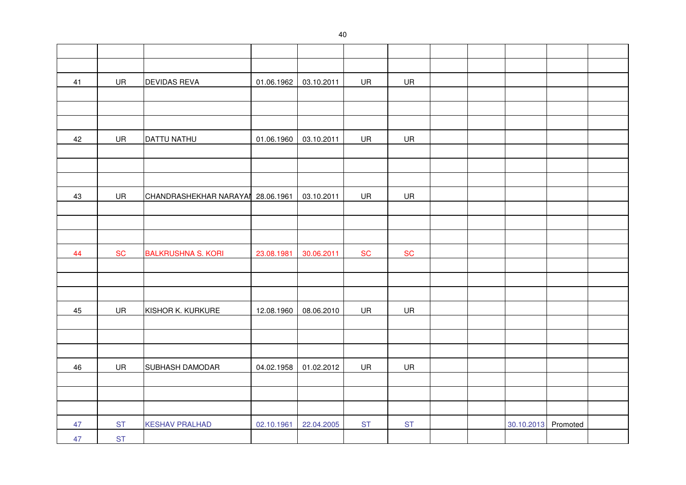| 41 | UR        | <b>DEVIDAS REVA</b>               | 01.06.1962 | 03.10.2011 | UR        | UR         |  |                     |  |
|----|-----------|-----------------------------------|------------|------------|-----------|------------|--|---------------------|--|
|    |           |                                   |            |            |           |            |  |                     |  |
|    |           |                                   |            |            |           |            |  |                     |  |
|    |           |                                   |            |            |           |            |  |                     |  |
| 42 | UR        | <b>DATTU NATHU</b>                | 01.06.1960 | 03.10.2011 | UR        | UR         |  |                     |  |
|    |           |                                   |            |            |           |            |  |                     |  |
|    |           |                                   |            |            |           |            |  |                     |  |
|    |           |                                   |            |            |           |            |  |                     |  |
| 43 | UR        | CHANDRASHEKHAR NARAYAN 28.06.1961 |            | 03.10.2011 | UR        | UR         |  |                     |  |
|    |           |                                   |            |            |           |            |  |                     |  |
|    |           |                                   |            |            |           |            |  |                     |  |
|    |           |                                   |            |            |           |            |  |                     |  |
| 44 | <b>SC</b> | <b>BALKRUSHNA S. KORI</b>         | 23.08.1981 | 30.06.2011 | <b>SC</b> | ${\sf SC}$ |  |                     |  |
|    |           |                                   |            |            |           |            |  |                     |  |
|    |           |                                   |            |            |           |            |  |                     |  |
|    |           |                                   |            |            |           |            |  |                     |  |
| 45 | UR        | KISHOR K. KURKURE                 | 12.08.1960 | 08.06.2010 | UR        | UR         |  |                     |  |
|    |           |                                   |            |            |           |            |  |                     |  |
|    |           |                                   |            |            |           |            |  |                     |  |
|    |           |                                   |            |            |           |            |  |                     |  |
| 46 | UR        | SUBHASH DAMODAR                   | 04.02.1958 | 01.02.2012 | UR        | UR         |  |                     |  |
|    |           |                                   |            |            |           |            |  |                     |  |
|    |           |                                   |            |            |           |            |  |                     |  |
|    |           |                                   |            |            |           |            |  |                     |  |
| 47 | <b>ST</b> | <b>KESHAV PRALHAD</b>             | 02.10.1961 | 22.04.2005 | <b>ST</b> | <b>ST</b>  |  | 30.10.2013 Promoted |  |
| 47 | <b>ST</b> |                                   |            |            |           |            |  |                     |  |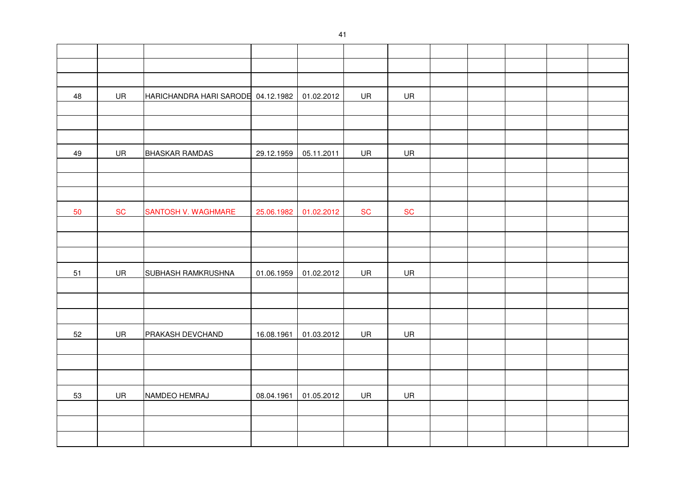| 48 | UR        | HARICHANDRA HARI SARODE 04.12.1982 |            | 01.02.2012 | UR        | UR        |  |  |  |
|----|-----------|------------------------------------|------------|------------|-----------|-----------|--|--|--|
|    |           |                                    |            |            |           |           |  |  |  |
|    |           |                                    |            |            |           |           |  |  |  |
|    |           |                                    |            |            |           |           |  |  |  |
| 49 | UR        | <b>BHASKAR RAMDAS</b>              | 29.12.1959 | 05.11.2011 | UR        | UR        |  |  |  |
|    |           |                                    |            |            |           |           |  |  |  |
|    |           |                                    |            |            |           |           |  |  |  |
|    |           |                                    |            |            |           |           |  |  |  |
| 50 | <b>SC</b> | SANTOSH V. WAGHMARE                | 25.06.1982 | 01.02.2012 | <b>SC</b> | <b>SC</b> |  |  |  |
|    |           |                                    |            |            |           |           |  |  |  |
|    |           |                                    |            |            |           |           |  |  |  |
|    |           |                                    |            |            |           |           |  |  |  |
| 51 | UR        | <b>SUBHASH RAMKRUSHNA</b>          | 01.06.1959 | 01.02.2012 | UR        | UR        |  |  |  |
|    |           |                                    |            |            |           |           |  |  |  |
|    |           |                                    |            |            |           |           |  |  |  |
|    |           |                                    |            |            |           |           |  |  |  |
| 52 | UR        | PRAKASH DEVCHAND                   | 16.08.1961 | 01.03.2012 | UR        | UR        |  |  |  |
|    |           |                                    |            |            |           |           |  |  |  |
|    |           |                                    |            |            |           |           |  |  |  |
|    |           |                                    |            |            |           |           |  |  |  |
| 53 | UR        | NAMDEO HEMRAJ                      | 08.04.1961 | 01.05.2012 | UR        | UR        |  |  |  |
|    |           |                                    |            |            |           |           |  |  |  |
|    |           |                                    |            |            |           |           |  |  |  |
|    |           |                                    |            |            |           |           |  |  |  |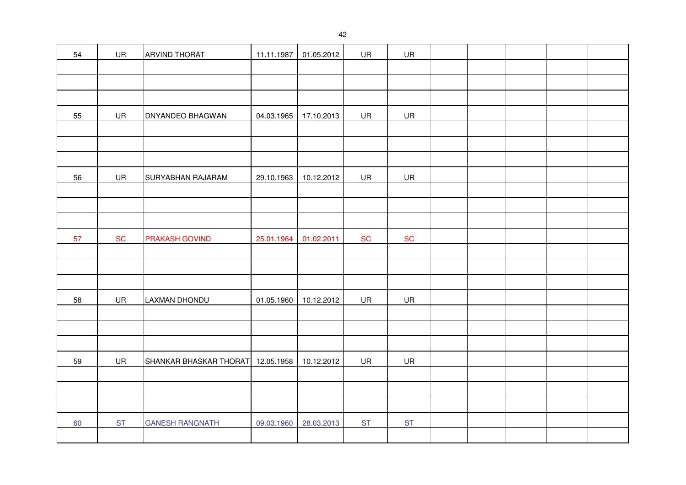| 54 | UR        | <b>ARVIND THORAT</b>              | 11.11.1987 | 01.05.2012 | UR        | UR        |  |  |  |
|----|-----------|-----------------------------------|------------|------------|-----------|-----------|--|--|--|
|    |           |                                   |            |            |           |           |  |  |  |
|    |           |                                   |            |            |           |           |  |  |  |
|    |           |                                   |            |            |           |           |  |  |  |
| 55 | UR        | DNYANDEO BHAGWAN                  | 04.03.1965 | 17.10.2013 | UR        | UR        |  |  |  |
|    |           |                                   |            |            |           |           |  |  |  |
|    |           |                                   |            |            |           |           |  |  |  |
|    |           |                                   |            |            |           |           |  |  |  |
| 56 | UR        | SURYABHAN RAJARAM                 | 29.10.1963 | 10.12.2012 | UR        | UR        |  |  |  |
|    |           |                                   |            |            |           |           |  |  |  |
|    |           |                                   |            |            |           |           |  |  |  |
|    |           |                                   |            |            |           |           |  |  |  |
| 57 | <b>SC</b> | <b>PRAKASH GOVIND</b>             | 25.01.1964 | 01.02.2011 | <b>SC</b> | <b>SC</b> |  |  |  |
|    |           |                                   |            |            |           |           |  |  |  |
|    |           |                                   |            |            |           |           |  |  |  |
|    |           |                                   |            |            |           |           |  |  |  |
| 58 | UR        | <b>LAXMAN DHONDU</b>              | 01.05.1960 | 10.12.2012 | UR        | UR        |  |  |  |
|    |           |                                   |            |            |           |           |  |  |  |
|    |           |                                   |            |            |           |           |  |  |  |
|    |           |                                   |            |            |           |           |  |  |  |
| 59 | UR        | SHANKAR BHASKAR THORAT 12.05.1958 |            | 10.12.2012 | UR        | UR        |  |  |  |
|    |           |                                   |            |            |           |           |  |  |  |
|    |           |                                   |            |            |           |           |  |  |  |
|    |           |                                   |            |            |           |           |  |  |  |
| 60 | <b>ST</b> | <b>GANESH RANGNATH</b>            | 09.03.1960 | 28.03.2013 | <b>ST</b> | <b>ST</b> |  |  |  |
|    |           |                                   |            |            |           |           |  |  |  |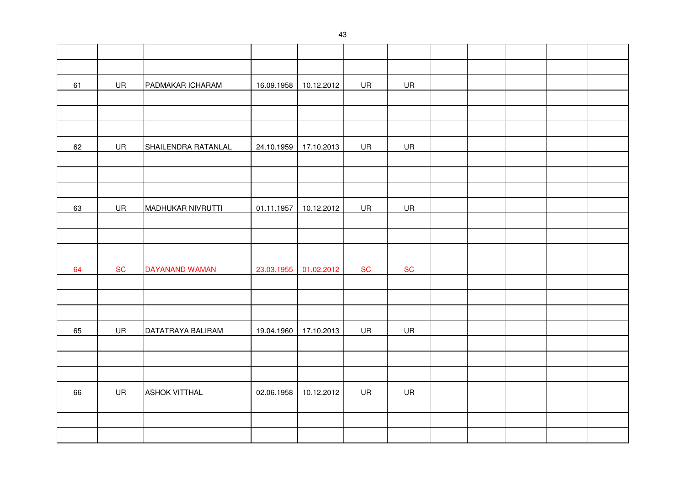| 61 | UR        | PADMAKAR ICHARAM     | 16.09.1958 | 10.12.2012 | UR         | UR         |  |  |  |
|----|-----------|----------------------|------------|------------|------------|------------|--|--|--|
|    |           |                      |            |            |            |            |  |  |  |
|    |           |                      |            |            |            |            |  |  |  |
|    |           |                      |            |            |            |            |  |  |  |
| 62 | UR        | SHAILENDRA RATANLAL  | 24.10.1959 | 17.10.2013 | UR         | UR         |  |  |  |
|    |           |                      |            |            |            |            |  |  |  |
|    |           |                      |            |            |            |            |  |  |  |
|    |           |                      |            |            |            |            |  |  |  |
| 63 | UR        | MADHUKAR NIVRUTTI    | 01.11.1957 | 10.12.2012 | UR         | UR         |  |  |  |
|    |           |                      |            |            |            |            |  |  |  |
|    |           |                      |            |            |            |            |  |  |  |
|    |           |                      |            |            |            |            |  |  |  |
| 64 | <b>SC</b> | DAYANAND WAMAN       | 23.03.1955 | 01.02.2012 | ${\sf SC}$ | ${\sf SC}$ |  |  |  |
|    |           |                      |            |            |            |            |  |  |  |
|    |           |                      |            |            |            |            |  |  |  |
|    |           |                      |            |            |            |            |  |  |  |
| 65 | UR        | DATATRAYA BALIRAM    | 19.04.1960 | 17.10.2013 | UR         | UR         |  |  |  |
|    |           |                      |            |            |            |            |  |  |  |
|    |           |                      |            |            |            |            |  |  |  |
|    |           |                      |            |            |            |            |  |  |  |
| 66 | UR        | <b>ASHOK VITTHAL</b> | 02.06.1958 | 10.12.2012 | UR         | <b>UR</b>  |  |  |  |
|    |           |                      |            |            |            |            |  |  |  |
|    |           |                      |            |            |            |            |  |  |  |
|    |           |                      |            |            |            |            |  |  |  |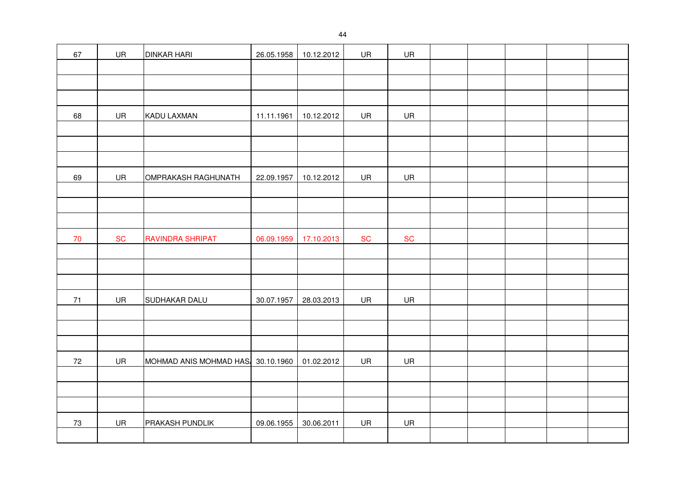| 67   | UR        | <b>DINKAR HARI</b>                | 26.05.1958 | 10.12.2012 | UR        | UR        |  |  |  |
|------|-----------|-----------------------------------|------------|------------|-----------|-----------|--|--|--|
|      |           |                                   |            |            |           |           |  |  |  |
|      |           |                                   |            |            |           |           |  |  |  |
|      |           |                                   |            |            |           |           |  |  |  |
| 68   | UR        | KADU LAXMAN                       | 11.11.1961 | 10.12.2012 | UR        | UR        |  |  |  |
|      |           |                                   |            |            |           |           |  |  |  |
|      |           |                                   |            |            |           |           |  |  |  |
|      |           |                                   |            |            |           |           |  |  |  |
| 69   | UR        | OMPRAKASH RAGHUNATH               | 22.09.1957 | 10.12.2012 | UR        | UR        |  |  |  |
|      |           |                                   |            |            |           |           |  |  |  |
|      |           |                                   |            |            |           |           |  |  |  |
|      |           |                                   |            |            |           |           |  |  |  |
| $70$ | <b>SC</b> | <b>RAVINDRA SHRIPAT</b>           | 06.09.1959 | 17.10.2013 | <b>SC</b> | <b>SC</b> |  |  |  |
|      |           |                                   |            |            |           |           |  |  |  |
|      |           |                                   |            |            |           |           |  |  |  |
|      |           |                                   |            |            |           |           |  |  |  |
| $71$ | UR        | SUDHAKAR DALU                     | 30.07.1957 | 28.03.2013 | UR        | UR        |  |  |  |
|      |           |                                   |            |            |           |           |  |  |  |
|      |           |                                   |            |            |           |           |  |  |  |
|      |           |                                   |            |            |           |           |  |  |  |
| 72   | UR        | MOHMAD ANIS MOHMAD HAS 30.10.1960 |            | 01.02.2012 | UR        | UR        |  |  |  |
|      |           |                                   |            |            |           |           |  |  |  |
|      |           |                                   |            |            |           |           |  |  |  |
|      |           |                                   |            |            |           |           |  |  |  |
| 73   | UR        | PRAKASH PUNDLIK                   | 09.06.1955 | 30.06.2011 | UR        | UR        |  |  |  |
|      |           |                                   |            |            |           |           |  |  |  |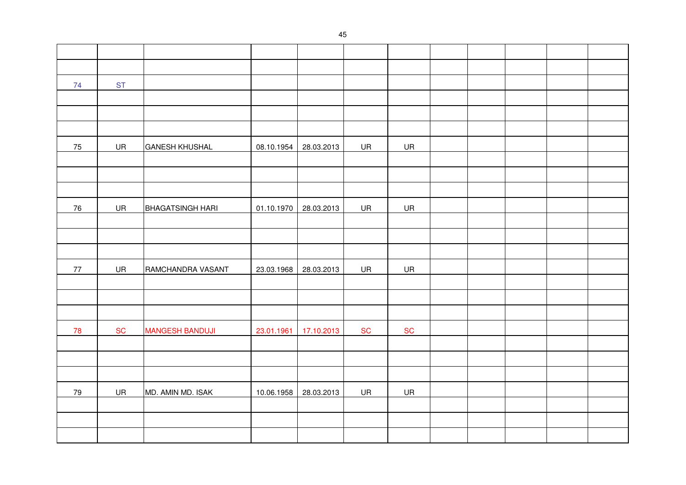| 74 | <b>ST</b> |                         |            |            |           |           |  |  |  |
|----|-----------|-------------------------|------------|------------|-----------|-----------|--|--|--|
|    |           |                         |            |            |           |           |  |  |  |
|    |           |                         |            |            |           |           |  |  |  |
|    |           |                         |            |            |           |           |  |  |  |
| 75 | UR        | <b>GANESH KHUSHAL</b>   | 08.10.1954 | 28.03.2013 | UR        | UR        |  |  |  |
|    |           |                         |            |            |           |           |  |  |  |
|    |           |                         |            |            |           |           |  |  |  |
|    |           |                         |            |            |           |           |  |  |  |
| 76 | UR        | <b>BHAGATSINGH HARI</b> | 01.10.1970 | 28.03.2013 | UR        | UR        |  |  |  |
|    |           |                         |            |            |           |           |  |  |  |
|    |           |                         |            |            |           |           |  |  |  |
|    |           |                         |            |            |           |           |  |  |  |
| 77 | UR        | RAMCHANDRA VASANT       | 23.03.1968 | 28.03.2013 | UR        | UR        |  |  |  |
|    |           |                         |            |            |           |           |  |  |  |
|    |           |                         |            |            |           |           |  |  |  |
|    |           |                         |            |            |           |           |  |  |  |
| 78 | <b>SC</b> | <b>MANGESH BANDUJI</b>  | 23.01.1961 | 17.10.2013 | <b>SC</b> | <b>SC</b> |  |  |  |
|    |           |                         |            |            |           |           |  |  |  |
|    |           |                         |            |            |           |           |  |  |  |
|    |           |                         |            |            |           |           |  |  |  |
| 79 | UR        | MD. AMIN MD. ISAK       | 10.06.1958 | 28.03.2013 | UR        | UR        |  |  |  |
|    |           |                         |            |            |           |           |  |  |  |
|    |           |                         |            |            |           |           |  |  |  |
|    |           |                         |            |            |           |           |  |  |  |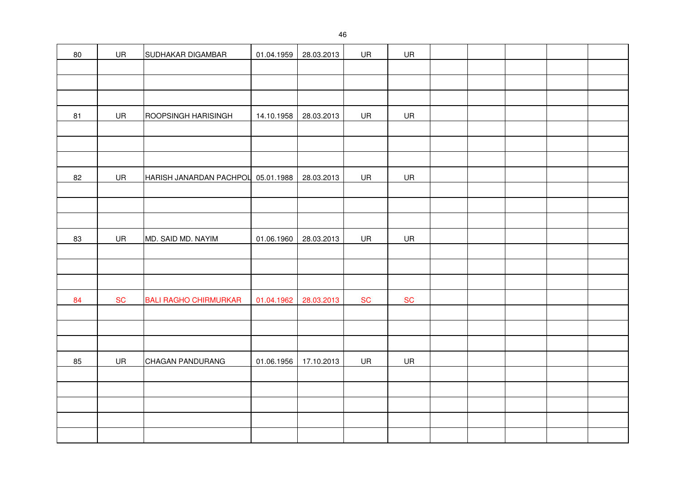| 80 | UR        | SUDHAKAR DIGAMBAR                  | 01.04.1959 | 28.03.2013 | UR         | UR         |  |  |  |
|----|-----------|------------------------------------|------------|------------|------------|------------|--|--|--|
|    |           |                                    |            |            |            |            |  |  |  |
|    |           |                                    |            |            |            |            |  |  |  |
|    |           |                                    |            |            |            |            |  |  |  |
| 81 | UR        | ROOPSINGH HARISINGH                | 14.10.1958 | 28.03.2013 | UR         | UR         |  |  |  |
|    |           |                                    |            |            |            |            |  |  |  |
|    |           |                                    |            |            |            |            |  |  |  |
|    |           |                                    |            |            |            |            |  |  |  |
| 82 | UR        | HARISH JANARDAN PACHPOL 05.01.1988 |            | 28.03.2013 | UR         | UR         |  |  |  |
|    |           |                                    |            |            |            |            |  |  |  |
|    |           |                                    |            |            |            |            |  |  |  |
|    |           |                                    |            |            |            |            |  |  |  |
| 83 | UR        | MD. SAID MD. NAYIM                 | 01.06.1960 | 28.03.2013 | UR         | UR         |  |  |  |
|    |           |                                    |            |            |            |            |  |  |  |
|    |           |                                    |            |            |            |            |  |  |  |
|    |           |                                    |            |            |            |            |  |  |  |
| 84 | <b>SC</b> | <b>BALI RAGHO CHIRMURKAR</b>       | 01.04.1962 | 28.03.2013 | ${\sf SC}$ | ${\sf SC}$ |  |  |  |
|    |           |                                    |            |            |            |            |  |  |  |
|    |           |                                    |            |            |            |            |  |  |  |
|    |           |                                    |            |            |            |            |  |  |  |
| 85 | UR        | CHAGAN PANDURANG                   | 01.06.1956 | 17.10.2013 | UR         | UR         |  |  |  |
|    |           |                                    |            |            |            |            |  |  |  |
|    |           |                                    |            |            |            |            |  |  |  |
|    |           |                                    |            |            |            |            |  |  |  |
|    |           |                                    |            |            |            |            |  |  |  |
|    |           |                                    |            |            |            |            |  |  |  |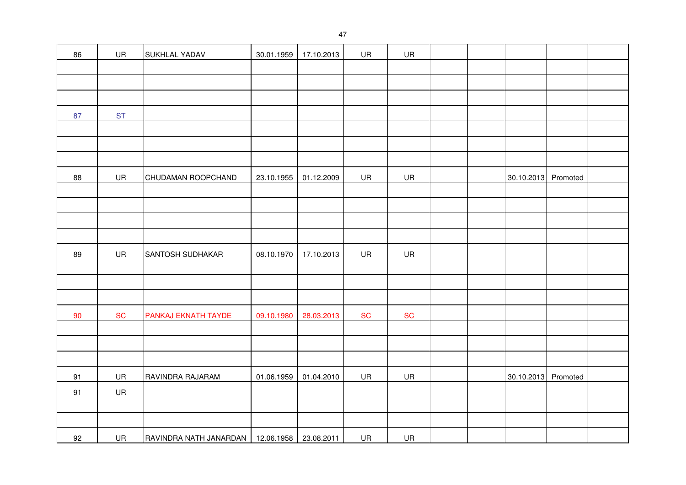| 86 | UR        | <b>SUKHLAL YADAV</b>                             | 30.01.1959 | 17.10.2013 | UR        | UR        |  |                     |  |
|----|-----------|--------------------------------------------------|------------|------------|-----------|-----------|--|---------------------|--|
|    |           |                                                  |            |            |           |           |  |                     |  |
|    |           |                                                  |            |            |           |           |  |                     |  |
|    |           |                                                  |            |            |           |           |  |                     |  |
| 87 | <b>ST</b> |                                                  |            |            |           |           |  |                     |  |
|    |           |                                                  |            |            |           |           |  |                     |  |
|    |           |                                                  |            |            |           |           |  |                     |  |
|    |           |                                                  |            |            |           |           |  |                     |  |
| 88 | UR        | CHUDAMAN ROOPCHAND                               | 23.10.1955 | 01.12.2009 | UR        | UR        |  | 30.10.2013 Promoted |  |
|    |           |                                                  |            |            |           |           |  |                     |  |
|    |           |                                                  |            |            |           |           |  |                     |  |
|    |           |                                                  |            |            |           |           |  |                     |  |
|    |           |                                                  |            |            |           |           |  |                     |  |
| 89 | UR        | SANTOSH SUDHAKAR                                 | 08.10.1970 | 17.10.2013 | UR        | UR        |  |                     |  |
|    |           |                                                  |            |            |           |           |  |                     |  |
|    |           |                                                  |            |            |           |           |  |                     |  |
|    |           |                                                  |            |            |           |           |  |                     |  |
| 90 | <b>SC</b> | PANKAJ EKNATH TAYDE                              | 09.10.1980 | 28.03.2013 | <b>SC</b> | <b>SC</b> |  |                     |  |
|    |           |                                                  |            |            |           |           |  |                     |  |
|    |           |                                                  |            |            |           |           |  |                     |  |
|    |           |                                                  |            |            |           |           |  |                     |  |
| 91 | UR        | RAVINDRA RAJARAM                                 | 01.06.1959 | 01.04.2010 | UR        | UR        |  | 30.10.2013 Promoted |  |
| 91 | UR        |                                                  |            |            |           |           |  |                     |  |
|    |           |                                                  |            |            |           |           |  |                     |  |
|    |           |                                                  |            |            |           |           |  |                     |  |
| 92 | UR        | RAVINDRA NATH JANARDAN   12.06.1958   23.08.2011 |            |            | <b>UR</b> | UR        |  |                     |  |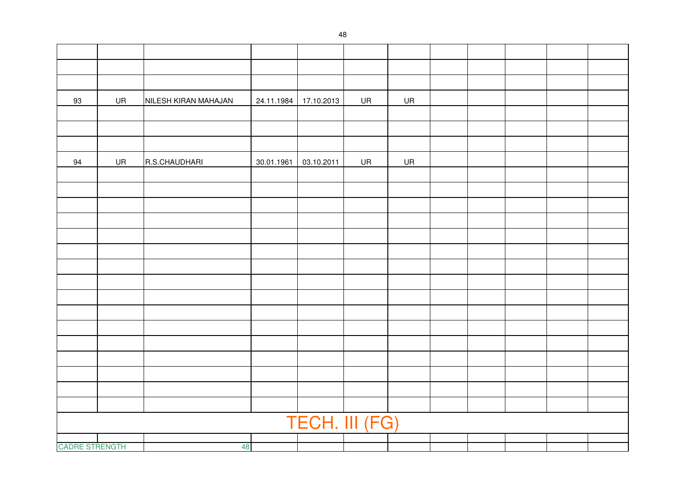| 93                    | UR        | NILESH KIRAN MAHAJAN | 24.11.1984 | 17.10.2013     | UR        | UR        |  |  |  |
|-----------------------|-----------|----------------------|------------|----------------|-----------|-----------|--|--|--|
|                       |           |                      |            |                |           |           |  |  |  |
|                       |           |                      |            |                |           |           |  |  |  |
|                       |           |                      |            |                |           |           |  |  |  |
| 94                    | <b>UR</b> | R.S.CHAUDHARI        | 30.01.1961 | 03.10.2011     | <b>UR</b> | <b>UR</b> |  |  |  |
|                       |           |                      |            |                |           |           |  |  |  |
|                       |           |                      |            |                |           |           |  |  |  |
|                       |           |                      |            |                |           |           |  |  |  |
|                       |           |                      |            |                |           |           |  |  |  |
|                       |           |                      |            |                |           |           |  |  |  |
|                       |           |                      |            |                |           |           |  |  |  |
|                       |           |                      |            |                |           |           |  |  |  |
|                       |           |                      |            |                |           |           |  |  |  |
|                       |           |                      |            |                |           |           |  |  |  |
|                       |           |                      |            |                |           |           |  |  |  |
|                       |           |                      |            |                |           |           |  |  |  |
|                       |           |                      |            |                |           |           |  |  |  |
|                       |           |                      |            |                |           |           |  |  |  |
|                       |           |                      |            |                |           |           |  |  |  |
|                       |           |                      |            |                |           |           |  |  |  |
|                       |           |                      |            |                |           |           |  |  |  |
|                       |           |                      |            | TECH. III (FG) |           |           |  |  |  |
|                       |           |                      |            |                |           |           |  |  |  |
| <b>CADRE STRENGTH</b> |           | 48                   |            |                |           |           |  |  |  |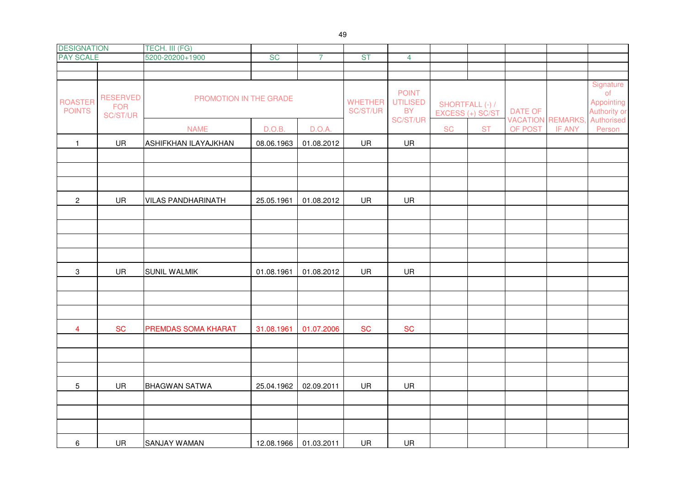| <b>DESIGNATION</b>              |                                           | TECH. III (FG)            |            |                       |                            |                                              |           |                                     |                |                                    |                                                      |
|---------------------------------|-------------------------------------------|---------------------------|------------|-----------------------|----------------------------|----------------------------------------------|-----------|-------------------------------------|----------------|------------------------------------|------------------------------------------------------|
| <b>PAY SCALE</b>                |                                           | 5200-20200+1900           | <b>SC</b>  | $\overline{7}$        | <b>ST</b>                  | $\overline{4}$                               |           |                                     |                |                                    |                                                      |
|                                 |                                           |                           |            |                       |                            |                                              |           |                                     |                |                                    |                                                      |
|                                 |                                           |                           |            |                       |                            |                                              |           |                                     |                |                                    |                                                      |
| <b>ROASTER</b><br><b>POINTS</b> | <b>RESERVED</b><br><b>FOR</b><br>SC/ST/UR | PROMOTION IN THE GRADE    |            |                       | <b>WHETHER</b><br>SC/ST/UR | <b>POINT</b><br><b>UTILISED</b><br><b>BY</b> |           | SHORTFALL (-) /<br>EXCESS (+) SC/ST | <b>DATE OF</b> |                                    | Signature<br>$\circ$ f<br>Appointing<br>Authority or |
|                                 |                                           | <b>NAME</b>               | D.O.B.     | D.O.A.                |                            | SC/ST/UR                                     | <b>SC</b> | <b>ST</b>                           | OF POST        | <b>VACATION REMARKS,</b><br>IF ANY | Authorised<br>Person                                 |
| $\mathbf{1}$                    | UR                                        | ASHIFKHAN ILAYAJKHAN      | 08.06.1963 | 01.08.2012            | UR                         | UR                                           |           |                                     |                |                                    |                                                      |
|                                 |                                           |                           |            |                       |                            |                                              |           |                                     |                |                                    |                                                      |
|                                 |                                           |                           |            |                       |                            |                                              |           |                                     |                |                                    |                                                      |
|                                 |                                           |                           |            |                       |                            |                                              |           |                                     |                |                                    |                                                      |
| $\overline{2}$                  | UR                                        | <b>VILAS PANDHARINATH</b> | 25.05.1961 | 01.08.2012            | UR                         | UR                                           |           |                                     |                |                                    |                                                      |
|                                 |                                           |                           |            |                       |                            |                                              |           |                                     |                |                                    |                                                      |
|                                 |                                           |                           |            |                       |                            |                                              |           |                                     |                |                                    |                                                      |
|                                 |                                           |                           |            |                       |                            |                                              |           |                                     |                |                                    |                                                      |
|                                 |                                           |                           |            |                       |                            |                                              |           |                                     |                |                                    |                                                      |
| $\ensuremath{\mathsf{3}}$       | UR                                        | <b>SUNIL WALMIK</b>       | 01.08.1961 | 01.08.2012            | UR                         | <b>UR</b>                                    |           |                                     |                |                                    |                                                      |
|                                 |                                           |                           |            |                       |                            |                                              |           |                                     |                |                                    |                                                      |
|                                 |                                           |                           |            |                       |                            |                                              |           |                                     |                |                                    |                                                      |
|                                 |                                           |                           |            |                       |                            |                                              |           |                                     |                |                                    |                                                      |
| $\overline{4}$                  | <b>SC</b>                                 | PREMDAS SOMA KHARAT       | 31.08.1961 | 01.07.2006            | <b>SC</b>                  | <b>SC</b>                                    |           |                                     |                |                                    |                                                      |
|                                 |                                           |                           |            |                       |                            |                                              |           |                                     |                |                                    |                                                      |
|                                 |                                           |                           |            |                       |                            |                                              |           |                                     |                |                                    |                                                      |
|                                 |                                           |                           |            |                       |                            |                                              |           |                                     |                |                                    |                                                      |
| 5                               | <b>UR</b>                                 | <b>BHAGWAN SATWA</b>      | 25.04.1962 | 02.09.2011            | UR                         | <b>UR</b>                                    |           |                                     |                |                                    |                                                      |
|                                 |                                           |                           |            |                       |                            |                                              |           |                                     |                |                                    |                                                      |
|                                 |                                           |                           |            |                       |                            |                                              |           |                                     |                |                                    |                                                      |
| 6                               | <b>UR</b>                                 | <b>SANJAY WAMAN</b>       |            | 12.08.1966 01.03.2011 | UR                         | <b>UR</b>                                    |           |                                     |                |                                    |                                                      |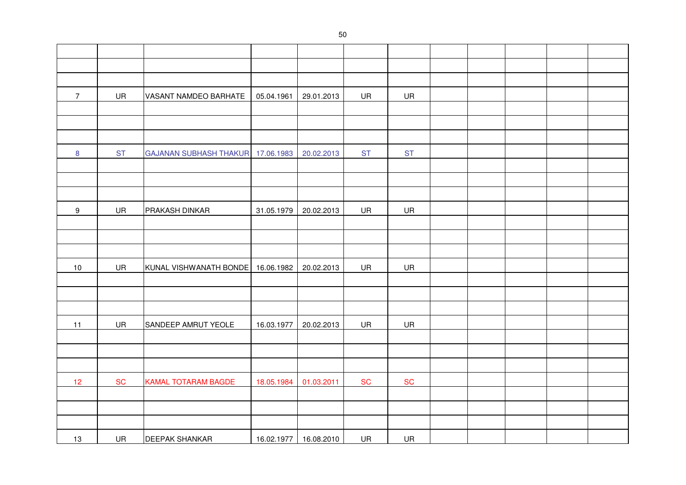| $\overline{7}$ | UR        | VASANT NAMDEO BARHATE             | 05.04.1961 | 29.01.2013            | UR        | UR         |  |  |  |
|----------------|-----------|-----------------------------------|------------|-----------------------|-----------|------------|--|--|--|
|                |           |                                   |            |                       |           |            |  |  |  |
|                |           |                                   |            |                       |           |            |  |  |  |
|                |           |                                   |            |                       |           |            |  |  |  |
| $\bf 8$        | <b>ST</b> | GAJANAN SUBHASH THAKUR 17.06.1983 |            | 20.02.2013            | <b>ST</b> | <b>ST</b>  |  |  |  |
|                |           |                                   |            |                       |           |            |  |  |  |
|                |           |                                   |            |                       |           |            |  |  |  |
|                |           |                                   |            |                       |           |            |  |  |  |
| $9\,$          | UR        | PRAKASH DINKAR                    | 31.05.1979 | 20.02.2013            | UR        | UR         |  |  |  |
|                |           |                                   |            |                       |           |            |  |  |  |
|                |           |                                   |            |                       |           |            |  |  |  |
|                |           |                                   |            |                       |           |            |  |  |  |
| 10             | UR        | KUNAL VISHWANATH BONDE            | 16.06.1982 | 20.02.2013            | UR        | UR         |  |  |  |
|                |           |                                   |            |                       |           |            |  |  |  |
|                |           |                                   |            |                       |           |            |  |  |  |
|                |           |                                   |            |                       |           |            |  |  |  |
| 11             | UR        | SANDEEP AMRUT YEOLE               | 16.03.1977 | 20.02.2013            | UR        | UR         |  |  |  |
|                |           |                                   |            |                       |           |            |  |  |  |
|                |           |                                   |            |                       |           |            |  |  |  |
|                |           |                                   |            |                       |           |            |  |  |  |
| 12             | <b>SC</b> | <b>KAMAL TOTARAM BAGDE</b>        | 18.05.1984 | 01.03.2011            | <b>SC</b> | ${\sf SC}$ |  |  |  |
|                |           |                                   |            |                       |           |            |  |  |  |
|                |           |                                   |            |                       |           |            |  |  |  |
|                |           |                                   |            |                       |           |            |  |  |  |
| 13             | UR        | <b>DEEPAK SHANKAR</b>             |            | 16.02.1977 16.08.2010 | UR        | UR         |  |  |  |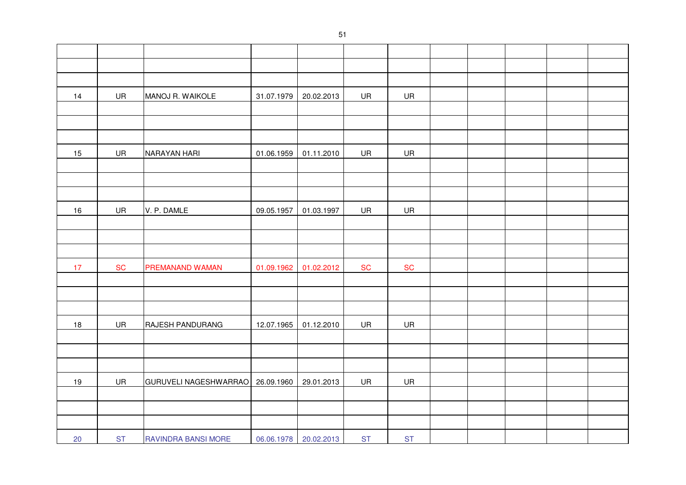| 14   | UR         | MANOJ R. WAIKOLE      | 31.07.1979 | 20.02.2013            | UR         | UR         |  |  |  |
|------|------------|-----------------------|------------|-----------------------|------------|------------|--|--|--|
|      |            |                       |            |                       |            |            |  |  |  |
|      |            |                       |            |                       |            |            |  |  |  |
|      |            |                       |            |                       |            |            |  |  |  |
| 15   | UR         | NARAYAN HARI          | 01.06.1959 | 01.11.2010            | UR         | UR         |  |  |  |
|      |            |                       |            |                       |            |            |  |  |  |
|      |            |                       |            |                       |            |            |  |  |  |
|      |            |                       |            |                       |            |            |  |  |  |
| 16   | UR         | V. P. DAMLE           | 09.05.1957 | 01.03.1997            | UR         | UR         |  |  |  |
|      |            |                       |            |                       |            |            |  |  |  |
|      |            |                       |            |                       |            |            |  |  |  |
|      |            |                       |            |                       |            |            |  |  |  |
| 17   | ${\sf SC}$ | PREMANAND WAMAN       | 01.09.1962 | 01.02.2012            | ${\sf SC}$ | ${\sf SC}$ |  |  |  |
|      |            |                       |            |                       |            |            |  |  |  |
|      |            |                       |            |                       |            |            |  |  |  |
|      |            |                       |            |                       |            |            |  |  |  |
| $18$ | UR         | RAJESH PANDURANG      | 12.07.1965 | 01.12.2010            | UR         | UR         |  |  |  |
|      |            |                       |            |                       |            |            |  |  |  |
|      |            |                       |            |                       |            |            |  |  |  |
|      |            |                       |            |                       |            |            |  |  |  |
| $19$ | UR         | GURUVELI NAGESHWARRAO | 26.09.1960 | 29.01.2013            | UR         | <b>UR</b>  |  |  |  |
|      |            |                       |            |                       |            |            |  |  |  |
|      |            |                       |            |                       |            |            |  |  |  |
|      |            |                       |            |                       |            |            |  |  |  |
| 20   | <b>ST</b>  | RAVINDRA BANSI MORE   |            | 06.06.1978 20.02.2013 | <b>ST</b>  | <b>ST</b>  |  |  |  |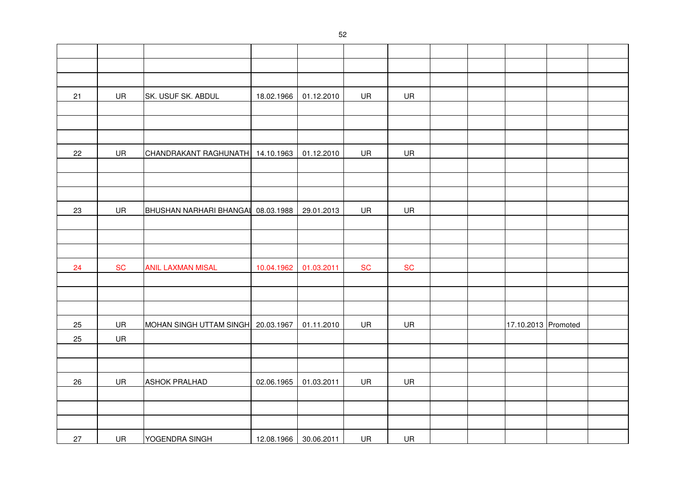| 21 | UR        | SK. USUF SK. ABDUL                 | 18.02.1966 | 01.12.2010            | UR        | UR        |  |                     |  |
|----|-----------|------------------------------------|------------|-----------------------|-----------|-----------|--|---------------------|--|
|    |           |                                    |            |                       |           |           |  |                     |  |
|    |           |                                    |            |                       |           |           |  |                     |  |
|    |           |                                    |            |                       |           |           |  |                     |  |
| 22 | UR        | CHANDRAKANT RAGHUNATH 14.10.1963   |            | 01.12.2010            | UR        | UR        |  |                     |  |
|    |           |                                    |            |                       |           |           |  |                     |  |
|    |           |                                    |            |                       |           |           |  |                     |  |
|    |           |                                    |            |                       |           |           |  |                     |  |
| 23 | UR        | BHUSHAN NARHARI BHANGAL 08.03.1988 |            | 29.01.2013            | UR        | UR        |  |                     |  |
|    |           |                                    |            |                       |           |           |  |                     |  |
|    |           |                                    |            |                       |           |           |  |                     |  |
|    |           |                                    |            |                       |           |           |  |                     |  |
| 24 | <b>SC</b> | <b>ANIL LAXMAN MISAL</b>           | 10.04.1962 | 01.03.2011            | <b>SC</b> | <b>SC</b> |  |                     |  |
|    |           |                                    |            |                       |           |           |  |                     |  |
|    |           |                                    |            |                       |           |           |  |                     |  |
|    |           |                                    |            |                       |           |           |  |                     |  |
| 25 | UR        | MOHAN SINGH UTTAM SINGH 20.03.1967 |            | 01.11.2010            | UR        | UR        |  | 17.10.2013 Promoted |  |
| 25 | UR        |                                    |            |                       |           |           |  |                     |  |
|    |           |                                    |            |                       |           |           |  |                     |  |
|    |           |                                    |            |                       |           |           |  |                     |  |
| 26 | UR        | <b>ASHOK PRALHAD</b>               | 02.06.1965 | 01.03.2011            | UR        | UR        |  |                     |  |
|    |           |                                    |            |                       |           |           |  |                     |  |
|    |           |                                    |            |                       |           |           |  |                     |  |
|    |           |                                    |            |                       |           |           |  |                     |  |
| 27 | <b>UR</b> | YOGENDRA SINGH                     |            | 12.08.1966 30.06.2011 | UR        | UR        |  |                     |  |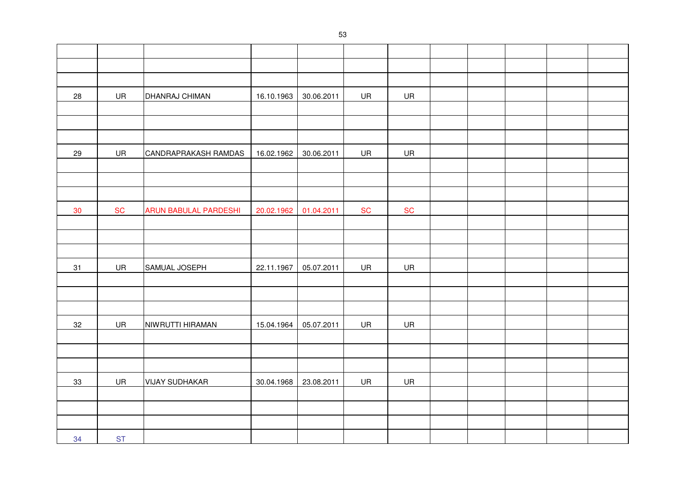| 28 | UR        | DHANRAJ CHIMAN               | 16.10.1963 | 30.06.2011 | UR        | <b>UR</b> |  |  |  |
|----|-----------|------------------------------|------------|------------|-----------|-----------|--|--|--|
|    |           |                              |            |            |           |           |  |  |  |
|    |           |                              |            |            |           |           |  |  |  |
|    |           |                              |            |            |           |           |  |  |  |
| 29 | UR        | CANDRAPRAKASH RAMDAS         | 16.02.1962 | 30.06.2011 | UR        | UR        |  |  |  |
|    |           |                              |            |            |           |           |  |  |  |
|    |           |                              |            |            |           |           |  |  |  |
|    |           |                              |            |            |           |           |  |  |  |
| 30 | <b>SC</b> | <b>ARUN BABULAL PARDESHI</b> | 20.02.1962 | 01.04.2011 | <b>SC</b> | <b>SC</b> |  |  |  |
|    |           |                              |            |            |           |           |  |  |  |
|    |           |                              |            |            |           |           |  |  |  |
|    |           |                              |            |            |           |           |  |  |  |
| 31 | UR        | SAMUAL JOSEPH                | 22.11.1967 | 05.07.2011 | UR        | UR        |  |  |  |
|    |           |                              |            |            |           |           |  |  |  |
|    |           |                              |            |            |           |           |  |  |  |
|    |           |                              |            |            |           |           |  |  |  |
| 32 | UR        | NIWRUTTI HIRAMAN             | 15.04.1964 | 05.07.2011 | UR        | UR        |  |  |  |
|    |           |                              |            |            |           |           |  |  |  |
|    |           |                              |            |            |           |           |  |  |  |
|    |           |                              |            |            |           |           |  |  |  |
| 33 | UR        | <b>VIJAY SUDHAKAR</b>        | 30.04.1968 | 23.08.2011 | UR        | UR        |  |  |  |
|    |           |                              |            |            |           |           |  |  |  |
|    |           |                              |            |            |           |           |  |  |  |
|    |           |                              |            |            |           |           |  |  |  |
| 34 | <b>ST</b> |                              |            |            |           |           |  |  |  |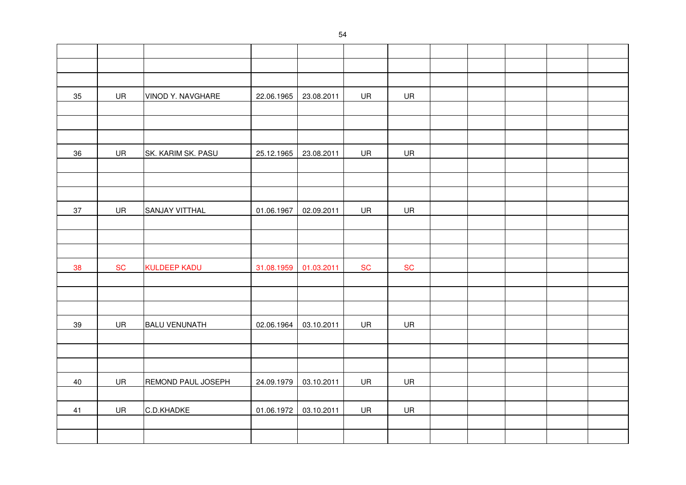| $35\,$ | UR        | VINOD Y. NAVGHARE    | 22.06.1965 | 23.08.2011 | UR        | UR        |  |  |  |
|--------|-----------|----------------------|------------|------------|-----------|-----------|--|--|--|
|        |           |                      |            |            |           |           |  |  |  |
|        |           |                      |            |            |           |           |  |  |  |
|        |           |                      |            |            |           |           |  |  |  |
| 36     | UR        | SK. KARIM SK. PASU   | 25.12.1965 | 23.08.2011 | UR        | UR        |  |  |  |
|        |           |                      |            |            |           |           |  |  |  |
|        |           |                      |            |            |           |           |  |  |  |
|        |           |                      |            |            |           |           |  |  |  |
| 37     | UR        | SANJAY VITTHAL       | 01.06.1967 | 02.09.2011 | UR        | UR        |  |  |  |
|        |           |                      |            |            |           |           |  |  |  |
|        |           |                      |            |            |           |           |  |  |  |
|        |           |                      |            |            |           |           |  |  |  |
| 38     | <b>SC</b> | <b>KULDEEP KADU</b>  | 31.08.1959 | 01.03.2011 | <b>SC</b> | <b>SC</b> |  |  |  |
|        |           |                      |            |            |           |           |  |  |  |
|        |           |                      |            |            |           |           |  |  |  |
|        |           |                      |            |            |           |           |  |  |  |
| 39     | UR        | <b>BALU VENUNATH</b> | 02.06.1964 | 03.10.2011 | UR        | UR        |  |  |  |
|        |           |                      |            |            |           |           |  |  |  |
|        |           |                      |            |            |           |           |  |  |  |
|        |           |                      |            |            |           |           |  |  |  |
| 40     | UR        | REMOND PAUL JOSEPH   | 24.09.1979 | 03.10.2011 | UR        | UR        |  |  |  |
|        |           |                      |            |            |           |           |  |  |  |
| 41     | UR        | C.D.KHADKE           | 01.06.1972 | 03.10.2011 | UR        | UR        |  |  |  |
|        |           |                      |            |            |           |           |  |  |  |
|        |           |                      |            |            |           |           |  |  |  |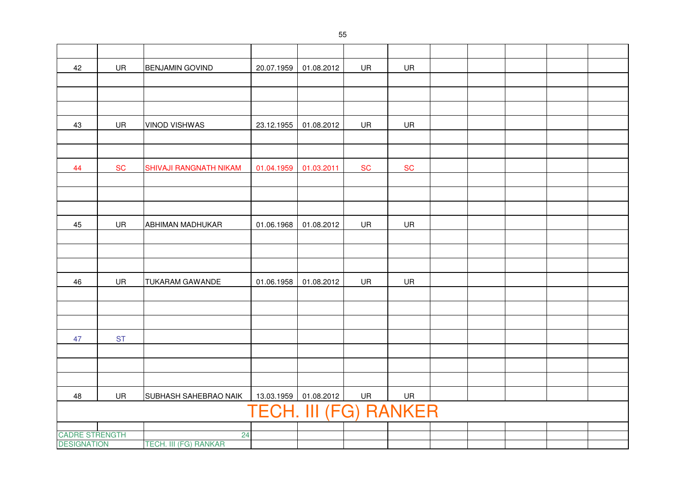| 42                            | UR        | <b>BENJAMIN GOVIND</b>       | 20.07.1959 | 01.08.2012                   | UR        | UR        |  |  |  |
|-------------------------------|-----------|------------------------------|------------|------------------------------|-----------|-----------|--|--|--|
|                               |           |                              |            |                              |           |           |  |  |  |
|                               |           |                              |            |                              |           |           |  |  |  |
|                               |           |                              |            |                              |           |           |  |  |  |
| 43                            | UR        | <b>VINOD VISHWAS</b>         | 23.12.1955 | 01.08.2012                   | UR        | UR        |  |  |  |
|                               |           |                              |            |                              |           |           |  |  |  |
|                               |           |                              |            |                              |           |           |  |  |  |
| 44                            | <b>SC</b> | SHIVAJI RANGNATH NIKAM       | 01.04.1959 | 01.03.2011                   | <b>SC</b> | <b>SC</b> |  |  |  |
|                               |           |                              |            |                              |           |           |  |  |  |
|                               |           |                              |            |                              |           |           |  |  |  |
|                               |           |                              |            |                              |           |           |  |  |  |
| 45                            | UR        | <b>ABHIMAN MADHUKAR</b>      | 01.06.1968 | 01.08.2012                   | UR        | UR        |  |  |  |
|                               |           |                              |            |                              |           |           |  |  |  |
|                               |           |                              |            |                              |           |           |  |  |  |
|                               |           |                              |            |                              |           |           |  |  |  |
| 46                            | UR        | <b>TUKARAM GAWANDE</b>       | 01.06.1958 | 01.08.2012                   | UR        | UR        |  |  |  |
|                               |           |                              |            |                              |           |           |  |  |  |
|                               |           |                              |            |                              |           |           |  |  |  |
|                               |           |                              |            |                              |           |           |  |  |  |
| 47                            | <b>ST</b> |                              |            |                              |           |           |  |  |  |
|                               |           |                              |            |                              |           |           |  |  |  |
|                               |           |                              |            |                              |           |           |  |  |  |
|                               |           |                              |            |                              |           |           |  |  |  |
| 48                            | UR        | SUBHASH SAHEBRAO NAIK        | 13.03.1959 | 01.08.2012                   | UR        | UR        |  |  |  |
|                               |           |                              |            | <b>TECH. III (FG) RANKER</b> |           |           |  |  |  |
|                               |           |                              |            |                              |           |           |  |  |  |
|                               |           | 24                           |            |                              |           |           |  |  |  |
| CADRE STRENGTH<br>DESIGNATION |           | <b>TECH. III (FG) RANKAR</b> |            |                              |           |           |  |  |  |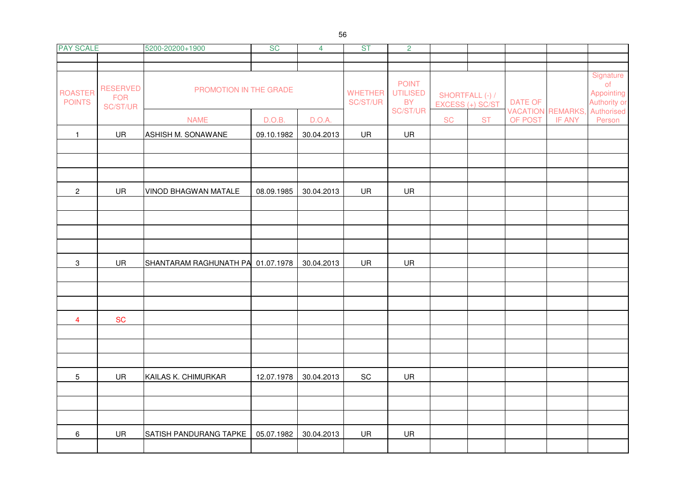| <b>PAY SCALE</b>                |                                           | 5200-20200+1900                   | <b>SC</b>  | $\overline{4}$ | <b>ST</b>                    | $\overline{2}$                                           |                 |                  |                |                          |                                                            |
|---------------------------------|-------------------------------------------|-----------------------------------|------------|----------------|------------------------------|----------------------------------------------------------|-----------------|------------------|----------------|--------------------------|------------------------------------------------------------|
|                                 |                                           |                                   |            |                |                              |                                                          |                 |                  |                |                          |                                                            |
|                                 |                                           |                                   |            |                |                              |                                                          |                 |                  |                |                          | Signature                                                  |
| <b>ROASTER</b><br><b>POINTS</b> | <b>RESERVED</b><br><b>FOR</b><br>SC/ST/UR | PROMOTION IN THE GRADE            |            |                | <b>WHETHER</b><br>SC/ST/UR   | <b>POINT</b><br><b>UTILISED</b><br><b>BY</b><br>SC/ST/UR | SHORTFALL (-) / | EXCESS (+) SC/ST | <b>DATE OF</b> | <b>VACATION REMARKS,</b> | o <sub>f</sub><br>Appointing<br>Authority or<br>Authorised |
|                                 |                                           | <b>NAME</b>                       | D.O.B.     | D.O.A.         |                              |                                                          | <b>SC</b>       | <b>ST</b>        | OF POST        | <b>IF ANY</b>            | Person                                                     |
| $\mathbf{1}$                    | UR                                        | ASHISH M. SONAWANE                | 09.10.1982 | 30.04.2013     | UR                           | UR                                                       |                 |                  |                |                          |                                                            |
|                                 |                                           |                                   |            |                |                              |                                                          |                 |                  |                |                          |                                                            |
|                                 |                                           |                                   |            |                |                              |                                                          |                 |                  |                |                          |                                                            |
|                                 |                                           |                                   |            |                |                              |                                                          |                 |                  |                |                          |                                                            |
| $\overline{2}$                  | UR                                        | VINOD BHAGWAN MATALE              | 08.09.1985 | 30.04.2013     | UR                           | UR                                                       |                 |                  |                |                          |                                                            |
|                                 |                                           |                                   |            |                |                              |                                                          |                 |                  |                |                          |                                                            |
|                                 |                                           |                                   |            |                |                              |                                                          |                 |                  |                |                          |                                                            |
|                                 |                                           |                                   |            |                |                              |                                                          |                 |                  |                |                          |                                                            |
| $\mathbf{3}$                    | UR                                        | SHANTARAM RAGHUNATH PA 01.07.1978 |            | 30.04.2013     | UR                           | UR                                                       |                 |                  |                |                          |                                                            |
|                                 |                                           |                                   |            |                |                              |                                                          |                 |                  |                |                          |                                                            |
|                                 |                                           |                                   |            |                |                              |                                                          |                 |                  |                |                          |                                                            |
|                                 |                                           |                                   |            |                |                              |                                                          |                 |                  |                |                          |                                                            |
| $\overline{4}$                  | <b>SC</b>                                 |                                   |            |                |                              |                                                          |                 |                  |                |                          |                                                            |
|                                 |                                           |                                   |            |                |                              |                                                          |                 |                  |                |                          |                                                            |
|                                 |                                           |                                   |            |                |                              |                                                          |                 |                  |                |                          |                                                            |
| $5\overline{)}$                 | UR                                        | KAILAS K. CHIMURKAR               | 12.07.1978 | 30.04.2013     | $\operatorname{\textsf{SC}}$ | UR                                                       |                 |                  |                |                          |                                                            |
|                                 |                                           |                                   |            |                |                              |                                                          |                 |                  |                |                          |                                                            |
|                                 |                                           |                                   |            |                |                              |                                                          |                 |                  |                |                          |                                                            |
|                                 |                                           |                                   |            |                |                              |                                                          |                 |                  |                |                          |                                                            |
| 6                               | UR                                        | SATISH PANDURANG TAPKE            | 05.07.1982 | 30.04.2013     | UR                           | UR                                                       |                 |                  |                |                          |                                                            |
|                                 |                                           |                                   |            |                |                              |                                                          |                 |                  |                |                          |                                                            |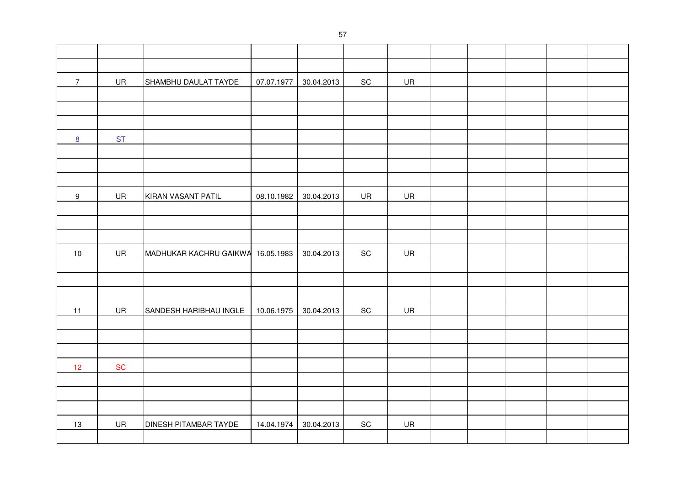| $\overline{7}$   | UR        | SHAMBHU DAULAT TAYDE              | 07.07.1977 | 30.04.2013 | $\operatorname{\textsf{SC}}$ | UR |  |  |  |
|------------------|-----------|-----------------------------------|------------|------------|------------------------------|----|--|--|--|
|                  |           |                                   |            |            |                              |    |  |  |  |
|                  |           |                                   |            |            |                              |    |  |  |  |
|                  |           |                                   |            |            |                              |    |  |  |  |
| $\boldsymbol{8}$ | <b>ST</b> |                                   |            |            |                              |    |  |  |  |
|                  |           |                                   |            |            |                              |    |  |  |  |
|                  |           |                                   |            |            |                              |    |  |  |  |
|                  |           |                                   |            |            |                              |    |  |  |  |
| $\boldsymbol{9}$ | UR        | KIRAN VASANT PATIL                | 08.10.1982 | 30.04.2013 | UR                           | UR |  |  |  |
|                  |           |                                   |            |            |                              |    |  |  |  |
|                  |           |                                   |            |            |                              |    |  |  |  |
|                  |           |                                   |            |            |                              |    |  |  |  |
| $10$             | UR        | MADHUKAR KACHRU GAIKWA 16.05.1983 |            | 30.04.2013 | $\operatorname{\textsf{SC}}$ | UR |  |  |  |
|                  |           |                                   |            |            |                              |    |  |  |  |
|                  |           |                                   |            |            |                              |    |  |  |  |
|                  |           |                                   |            |            |                              |    |  |  |  |
| 11               | UR        | SANDESH HARIBHAU INGLE            | 10.06.1975 | 30.04.2013 | $\operatorname{\textsf{SC}}$ | UR |  |  |  |
|                  |           |                                   |            |            |                              |    |  |  |  |
|                  |           |                                   |            |            |                              |    |  |  |  |
|                  |           |                                   |            |            |                              |    |  |  |  |
| 12               | <b>SC</b> |                                   |            |            |                              |    |  |  |  |
|                  |           |                                   |            |            |                              |    |  |  |  |
|                  |           |                                   |            |            |                              |    |  |  |  |
|                  |           |                                   |            |            |                              |    |  |  |  |
| 13               | UR        | DINESH PITAMBAR TAYDE             | 14.04.1974 | 30.04.2013 | $\operatorname{\textsf{SC}}$ | UR |  |  |  |
|                  |           |                                   |            |            |                              |    |  |  |  |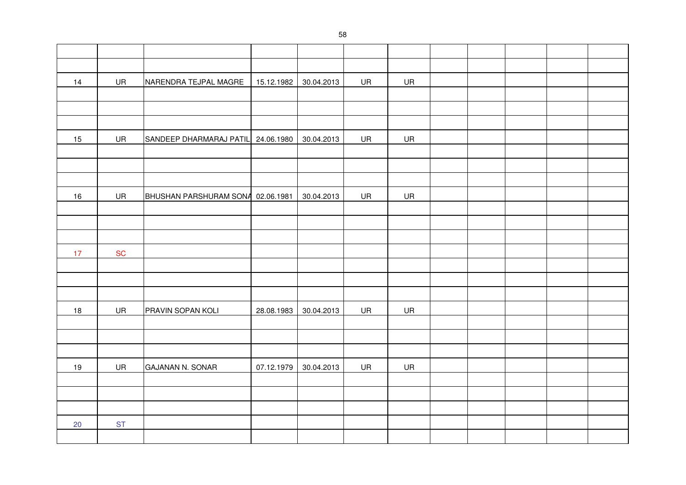| 14   | UR        | NARENDRA TEJPAL MAGRE              | 15.12.1982 | 30.04.2013 | UR | UR |  |  |  |
|------|-----------|------------------------------------|------------|------------|----|----|--|--|--|
|      |           |                                    |            |            |    |    |  |  |  |
|      |           |                                    |            |            |    |    |  |  |  |
|      |           |                                    |            |            |    |    |  |  |  |
| 15   | UR        | SANDEEP DHARMARAJ PATIL 24.06.1980 |            | 30.04.2013 | UR | UR |  |  |  |
|      |           |                                    |            |            |    |    |  |  |  |
|      |           |                                    |            |            |    |    |  |  |  |
|      |           |                                    |            |            |    |    |  |  |  |
| $16$ | UR        | BHUSHAN PARSHURAM SONA 02.06.1981  |            | 30.04.2013 | UR | UR |  |  |  |
|      |           |                                    |            |            |    |    |  |  |  |
|      |           |                                    |            |            |    |    |  |  |  |
|      |           |                                    |            |            |    |    |  |  |  |
| 17   | <b>SC</b> |                                    |            |            |    |    |  |  |  |
|      |           |                                    |            |            |    |    |  |  |  |
|      |           |                                    |            |            |    |    |  |  |  |
|      |           |                                    |            |            |    |    |  |  |  |
| 18   | UR        | PRAVIN SOPAN KOLI                  | 28.08.1983 | 30.04.2013 | UR | UR |  |  |  |
|      |           |                                    |            |            |    |    |  |  |  |
|      |           |                                    |            |            |    |    |  |  |  |
|      |           |                                    |            |            |    |    |  |  |  |
| $19$ | UR        | <b>GAJANAN N. SONAR</b>            | 07.12.1979 | 30.04.2013 | UR | UR |  |  |  |
|      |           |                                    |            |            |    |    |  |  |  |
|      |           |                                    |            |            |    |    |  |  |  |
|      |           |                                    |            |            |    |    |  |  |  |
| 20   | <b>ST</b> |                                    |            |            |    |    |  |  |  |
|      |           |                                    |            |            |    |    |  |  |  |